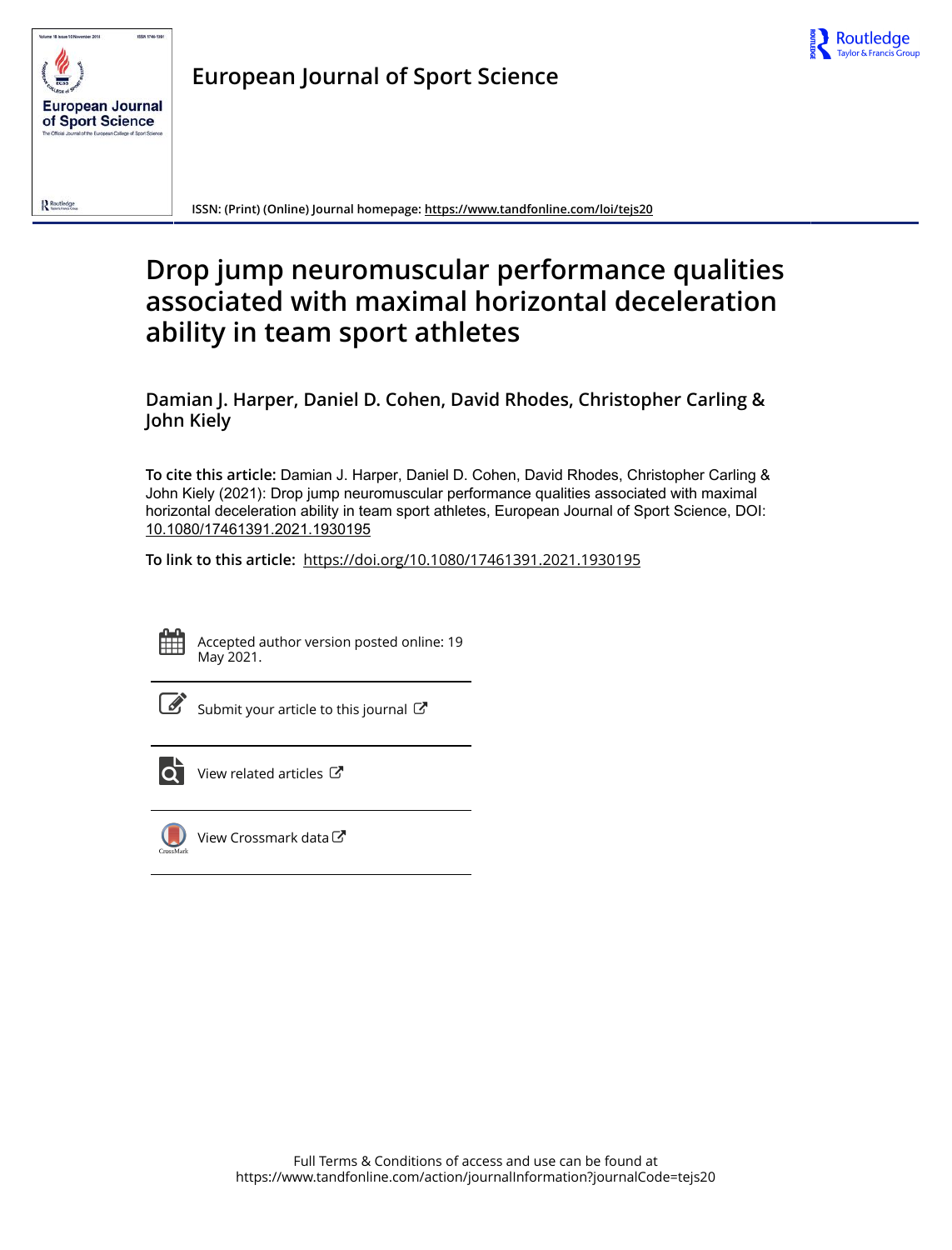



**European Journal of Sport Science**

**ISSN: (Print) (Online) Journal homepage: https://www.tandfonline.com/loi/tejs20**

# **Drop jump neuromuscular performance qualities associated with maximal horizontal deceleration ability in team sport athletes**

**Damian J. Harper, Daniel D. Cohen, David Rhodes, Christopher Carling & John Kiely**

**To cite this article:** Damian J. Harper, Daniel D. Cohen, David Rhodes, Christopher Carling & John Kiely (2021): Drop jump neuromuscular performance qualities associated with maximal horizontal deceleration ability in team sport athletes, European Journal of Sport Science, DOI: 10.1080/17461391.2021.1930195

**To link to this article:** https://doi.org/10.1080/17461391.2021.1930195



Accepted author version posted online: 19 May 2021.

Submit your article to this journal  $\mathbb{Z}$ 



View related articles



View Crossmark data<sup>C</sup>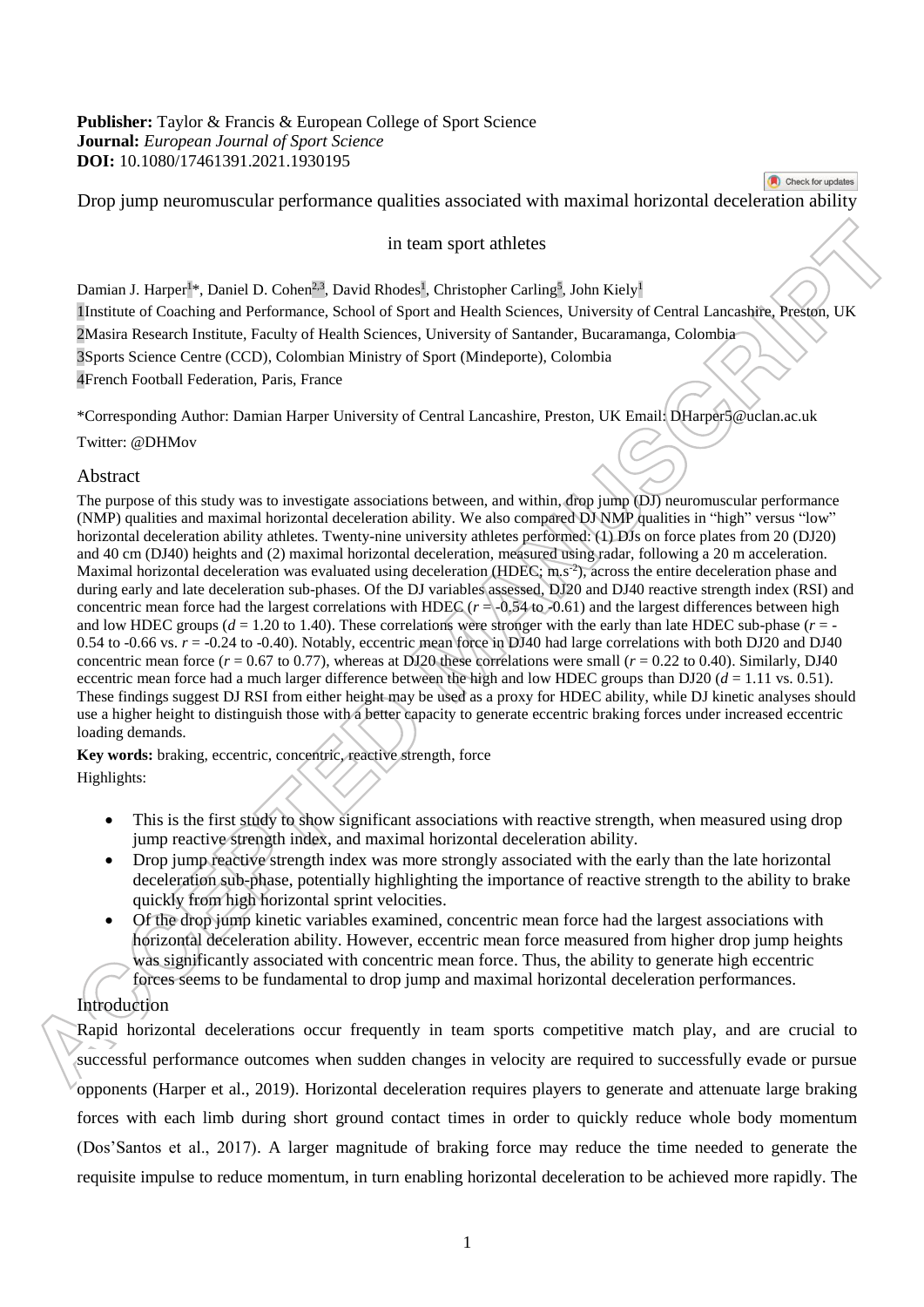**Publisher:** Taylor & Francis & European College of Sport Science **Journal:** *European Journal of Sport Science*  **DOI:** 10.1080/17461391.2021.1930195

Drop jump neuromuscular performance qualities associated with maximal horizontal deceleration ability

Check for updates

#### in team sport athletes

Damian J. Harper<sup>1</sup>\*, Daniel D. Cohen<sup>2,3</sup>, David Rhodes<sup>1</sup>, Christopher Carling<sup>5</sup>, John Kiely<sup>1</sup> 1Institute of Coaching and Performance, School of Sport and Health Sciences, University of Central Lancashire, Preston, UK 2Masira Research Institute, Faculty of Health Sciences, University of Santander, Bucaramanga, Colombia 3Sports Science Centre (CCD), Colombian Ministry of Sport (Mindeporte), Colombia 4French Football Federation, Paris, France

\*Corresponding Author: Damian Harper University of Central Lancashire, Preston, UK Email: DHarper5@uclan.ac.uk

Twitter: @DHMov

## Abstract

The purpose of this study was to investigate associations between, and within, drop jump (DJ) neuromuscular performance (NMP) qualities and maximal horizontal deceleration ability. We also compared DJ NMP qualities in "high" versus "low" horizontal deceleration ability athletes. Twenty-nine university athletes performed: (1) DJs on force plates from 20 (DJ20) and 40 cm (DJ40) heights and (2) maximal horizontal deceleration, measured using radar, following a 20 m acceleration. Maximal horizontal deceleration was evaluated using deceleration (HDEC; m,s<sup>-2</sup>), across the entire deceleration phase and during early and late deceleration sub-phases. Of the DJ variables assessed, DJ20 and DJ40 reactive strength index (RSI) and concentric mean force had the largest correlations with HDEC  $(r = 0.54$  to -0.61) and the largest differences between high and low HDEC groups ( $d = 1.20$  to 1.40). These correlations were stronger with the early than late HDEC sub-phase ( $r = -$ 0.54 to  $-0.66$  vs.  $r = -0.24$  to  $-0.40$ ). Notably, eccentric mean force in DJ40 had large correlations with both DJ20 and DJ40 concentric mean force  $(r = 0.67$  to 0.77), whereas at DJ20 these correlations were small  $(r = 0.22$  to 0.40). Similarly, DJ40 eccentric mean force had a much larger difference between the high and low HDEC groups than DJ20  $(d = 1.11 \text{ vs. } 0.51)$ . These findings suggest DJ RSI from either height may be used as a proxy for HDEC ability, while DJ kinetic analyses should use a higher height to distinguish those with a better capacity to generate eccentric braking forces under increased eccentric loading demands.

**Key words:** braking, eccentric, concentric, reactive strength, force Highlights:

- This is the first study to show significant associations with reactive strength, when measured using drop jump reactive strength index, and maximal horizontal deceleration ability.
- Drop jump reactive strength index was more strongly associated with the early than the late horizontal deceleration sub-phase, potentially highlighting the importance of reactive strength to the ability to brake quickly from high horizontal sprint velocities.
- Of the drop jump kinetic variables examined, concentric mean force had the largest associations with horizontal deceleration ability. However, eccentric mean force measured from higher drop jump heights was significantly associated with concentric mean force. Thus, the ability to generate high eccentric forces seems to be fundamental to drop jump and maximal horizontal deceleration performances.

## Introduction

Rapid horizontal decelerations occur frequently in team sports competitive match play, and are crucial to successful performance outcomes when sudden changes in velocity are required to successfully evade or pursue opponents (Harper et al., 2019). Horizontal deceleration requires players to generate and attenuate large braking forces with each limb during short ground contact times in order to quickly reduce whole body momentum (Dos'Santos et al., 2017). A larger magnitude of braking force may reduce the time needed to generate the requisite impulse to reduce momentum, in turn enabling horizontal deceleration to be achieved more rapidly. The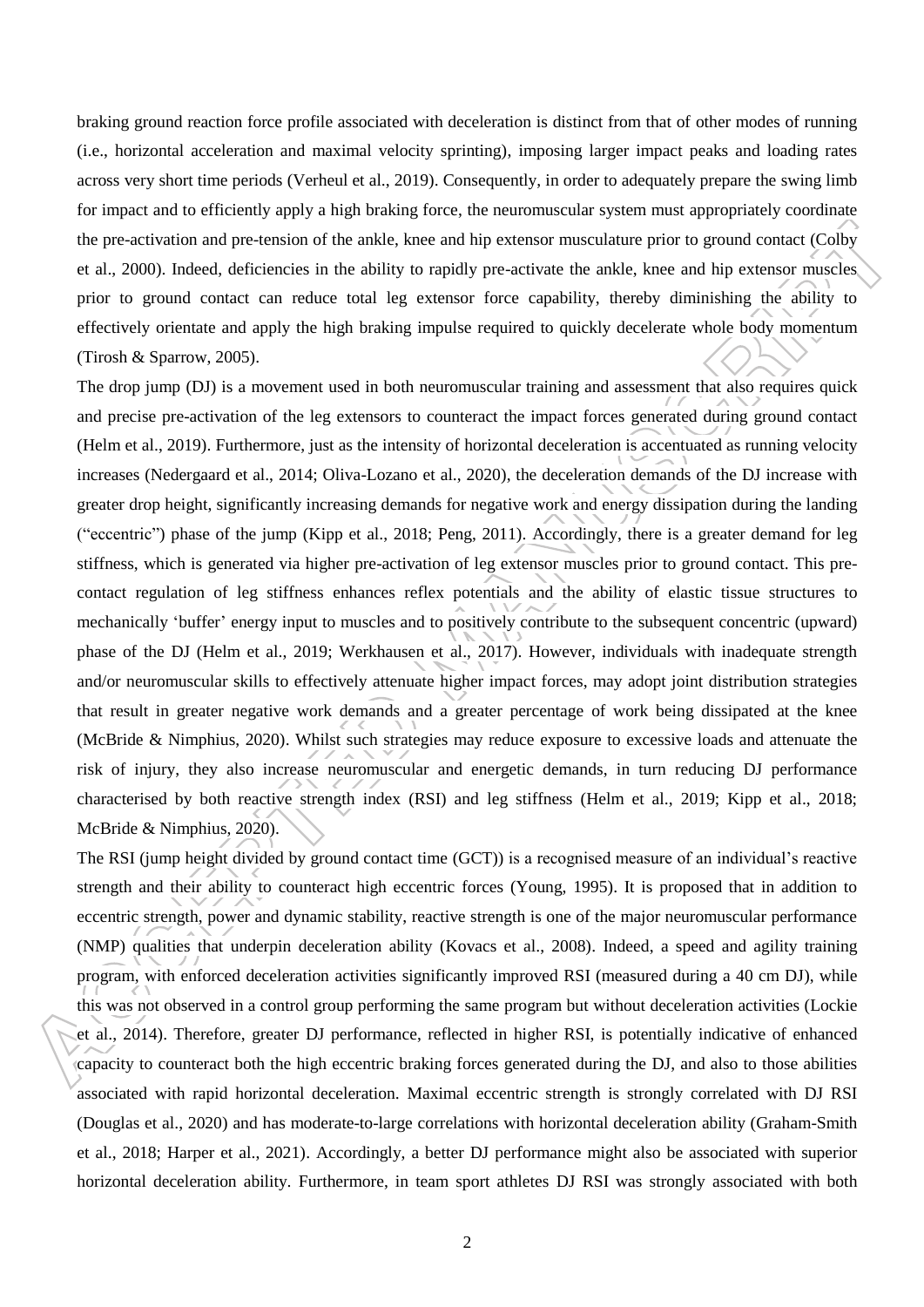braking ground reaction force profile associated with deceleration is distinct from that of other modes of running (i.e., horizontal acceleration and maximal velocity sprinting), imposing larger impact peaks and loading rates across very short time periods (Verheul et al., 2019). Consequently, in order to adequately prepare the swing limb for impact and to efficiently apply a high braking force, the neuromuscular system must appropriately coordinate the pre-activation and pre-tension of the ankle, knee and hip extensor musculature prior to ground contact (Colby et al., 2000). Indeed, deficiencies in the ability to rapidly pre-activate the ankle, knee and hip extensor muscles prior to ground contact can reduce total leg extensor force capability, thereby diminishing the ability to effectively orientate and apply the high braking impulse required to quickly decelerate whole body momentum (Tirosh & Sparrow, 2005).

The drop jump (DJ) is a movement used in both neuromuscular training and assessment that also requires quick and precise pre-activation of the leg extensors to counteract the impact forces generated during ground contact (Helm et al., 2019). Furthermore, just as the intensity of horizontal deceleration is accentuated as running velocity increases (Nedergaard et al., 2014; Oliva-Lozano et al., 2020), the deceleration demands of the DJ increase with greater drop height, significantly increasing demands for negative work and energy dissipation during the landing ("eccentric") phase of the jump (Kipp et al., 2018; Peng, 2011). Accordingly, there is a greater demand for leg stiffness, which is generated via higher pre-activation of leg extensor muscles prior to ground contact. This precontact regulation of leg stiffness enhances reflex potentials and the ability of elastic tissue structures to mechanically 'buffer' energy input to muscles and to positively contribute to the subsequent concentric (upward) phase of the DJ (Helm et al., 2019; Werkhausen et al., 2017). However, individuals with inadequate strength and/or neuromuscular skills to effectively attenuate higher impact forces, may adopt joint distribution strategies that result in greater negative work demands and a greater percentage of work being dissipated at the knee (McBride & Nimphius, 2020). Whilst such strategies may reduce exposure to excessive loads and attenuate the risk of injury, they also increase neuromuscular and energetic demands, in turn reducing DJ performance characterised by both reactive strength index (RSI) and leg stiffness (Helm et al., 2019; Kipp et al., 2018; McBride & Nimphius, 2020).

The RSI (jump height divided by ground contact time (GCT)) is a recognised measure of an individual's reactive strength and their ability to counteract high eccentric forces (Young, 1995). It is proposed that in addition to eccentric strength, power and dynamic stability, reactive strength is one of the major neuromuscular performance (NMP) qualities that underpin deceleration ability (Kovacs et al., 2008). Indeed, a speed and agility training program, with enforced deceleration activities significantly improved RSI (measured during a 40 cm DJ), while this was not observed in a control group performing the same program but without deceleration activities (Lockie et al., 2014). Therefore, greater DJ performance, reflected in higher RSI, is potentially indicative of enhanced capacity to counteract both the high eccentric braking forces generated during the DJ, and also to those abilities associated with rapid horizontal deceleration. Maximal eccentric strength is strongly correlated with DJ RSI (Douglas et al., 2020) and has moderate-to-large correlations with horizontal deceleration ability (Graham-Smith et al., 2018; Harper et al., 2021). Accordingly, a better DJ performance might also be associated with superior horizontal deceleration ability. Furthermore, in team sport athletes DJ RSI was strongly associated with both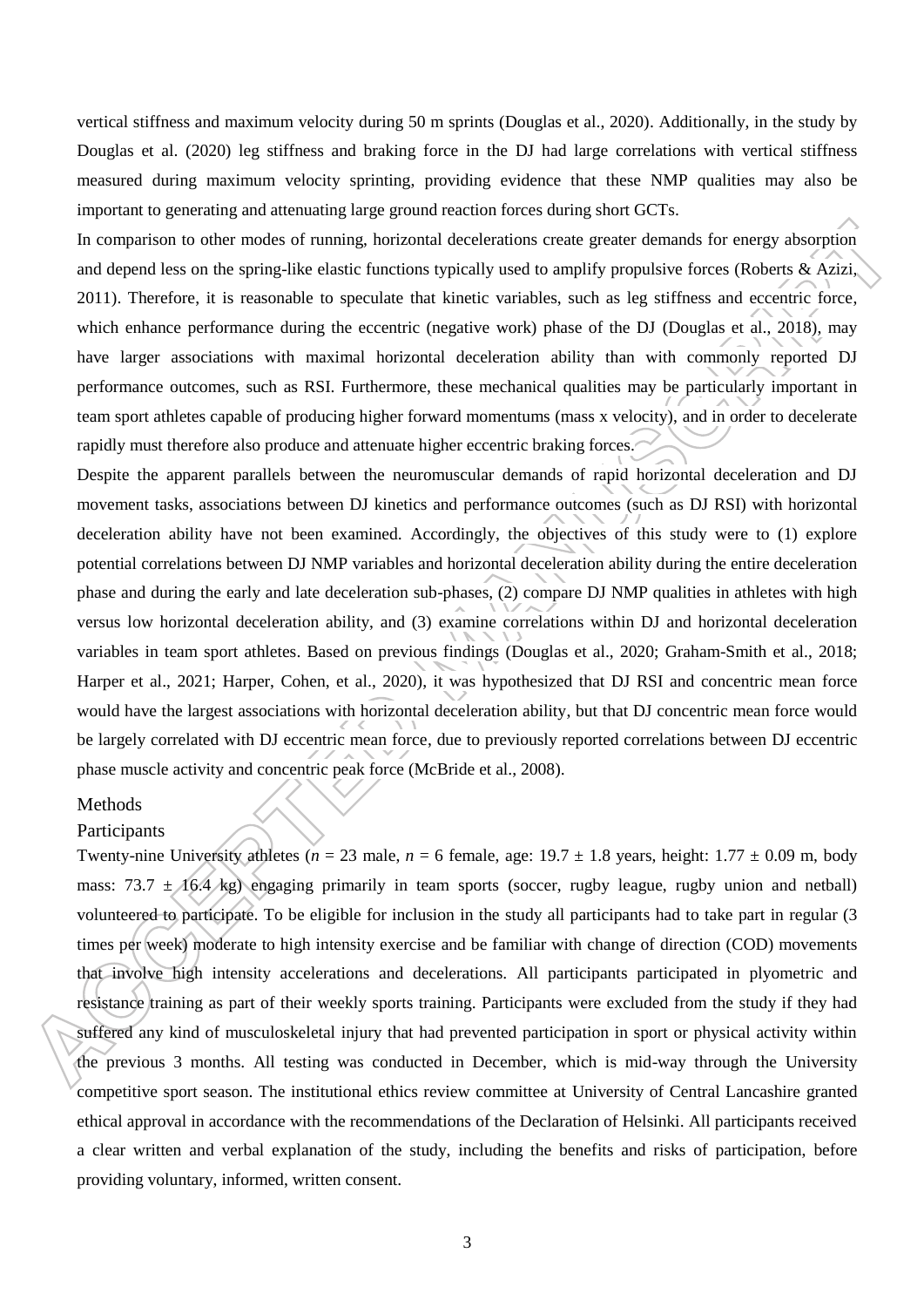vertical stiffness and maximum velocity during 50 m sprints (Douglas et al., 2020). Additionally, in the study by Douglas et al. (2020) leg stiffness and braking force in the DJ had large correlations with vertical stiffness measured during maximum velocity sprinting, providing evidence that these NMP qualities may also be important to generating and attenuating large ground reaction forces during short GCTs.

In comparison to other modes of running, horizontal decelerations create greater demands for energy absorption and depend less on the spring-like elastic functions typically used to amplify propulsive forces (Roberts & Azizi, 2011). Therefore, it is reasonable to speculate that kinetic variables, such as leg stiffness and eccentric force, which enhance performance during the eccentric (negative work) phase of the DJ (Douglas et al., 2018), may have larger associations with maximal horizontal deceleration ability than with commonly reported DJ performance outcomes, such as RSI. Furthermore, these mechanical qualities may be particularly important in team sport athletes capable of producing higher forward momentums (mass x velocity), and in order to decelerate rapidly must therefore also produce and attenuate higher eccentric braking forces.

Despite the apparent parallels between the neuromuscular demands of rapid horizontal deceleration and DJ movement tasks, associations between DJ kinetics and performance outcomes (such as DJ RSI) with horizontal deceleration ability have not been examined. Accordingly, the objectives of this study were to (1) explore potential correlations between DJ NMP variables and horizontal deceleration ability during the entire deceleration phase and during the early and late deceleration sub-phases, (2) compare DJ NMP qualities in athletes with high versus low horizontal deceleration ability, and (3) examine correlations within DJ and horizontal deceleration variables in team sport athletes. Based on previous findings (Douglas et al., 2020; Graham-Smith et al., 2018; Harper et al., 2021; Harper, Cohen, et al., 2020), it was hypothesized that DJ RSI and concentric mean force would have the largest associations with horizontal deceleration ability, but that DJ concentric mean force would be largely correlated with DJ eccentric mean force, due to previously reported correlations between DJ eccentric phase muscle activity and concentric peak force (McBride et al., 2008).

## Methods

#### **Participants**

Twenty-nine University athletes ( $n = 23$  male,  $n = 6$  female, age:  $19.7 \pm 1.8$  years, height:  $1.77 \pm 0.09$  m, body mass: 73.7  $\pm$  16.4 kg) engaging primarily in team sports (soccer, rugby league, rugby union and netball) volunteered to participate. To be eligible for inclusion in the study all participants had to take part in regular (3 times per week) moderate to high intensity exercise and be familiar with change of direction (COD) movements that involve high intensity accelerations and decelerations. All participants participated in plyometric and resistance training as part of their weekly sports training. Participants were excluded from the study if they had suffered any kind of musculoskeletal injury that had prevented participation in sport or physical activity within the previous 3 months. All testing was conducted in December, which is mid-way through the University competitive sport season. The institutional ethics review committee at University of Central Lancashire granted ethical approval in accordance with the recommendations of the Declaration of Helsinki. All participants received a clear written and verbal explanation of the study, including the benefits and risks of participation, before providing voluntary, informed, written consent.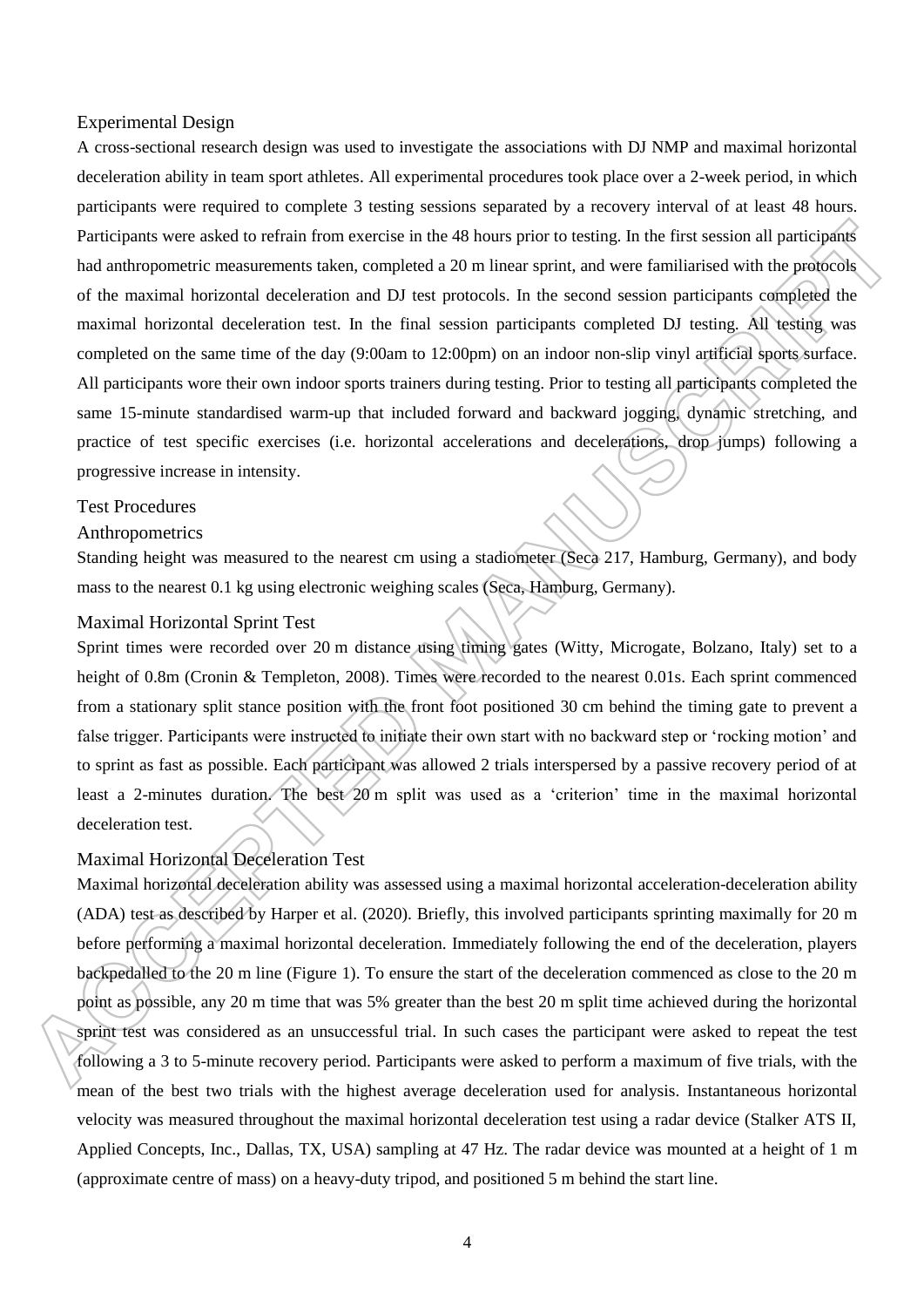#### Experimental Design

A cross-sectional research design was used to investigate the associations with DJ NMP and maximal horizontal deceleration ability in team sport athletes. All experimental procedures took place over a 2-week period, in which participants were required to complete 3 testing sessions separated by a recovery interval of at least 48 hours. Participants were asked to refrain from exercise in the 48 hours prior to testing. In the first session all participants had anthropometric measurements taken, completed a 20 m linear sprint, and were familiarised with the protocols of the maximal horizontal deceleration and DJ test protocols. In the second session participants completed the maximal horizontal deceleration test. In the final session participants completed DJ testing. All testing was completed on the same time of the day (9:00am to 12:00pm) on an indoor non-slip vinyl artificial sports surface. All participants wore their own indoor sports trainers during testing. Prior to testing all participants completed the same 15-minute standardised warm-up that included forward and backward jogging, dynamic stretching, and practice of test specific exercises (i.e. horizontal accelerations and decelerations, drop jumps) following a progressive increase in intensity.

#### Test Procedures

#### Anthropometrics

Standing height was measured to the nearest cm using a stadiometer (Seca 217, Hamburg, Germany), and body mass to the nearest 0.1 kg using electronic weighing scales (Seca, Hamburg, Germany).

## Maximal Horizontal Sprint Test

Sprint times were recorded over 20 m distance using timing gates (Witty, Microgate, Bolzano, Italy) set to a height of 0.8m (Cronin & Templeton, 2008). Times were recorded to the nearest 0.01s. Each sprint commenced from a stationary split stance position with the front foot positioned 30 cm behind the timing gate to prevent a false trigger. Participants were instructed to initiate their own start with no backward step or 'rocking motion' and to sprint as fast as possible. Each participant was allowed 2 trials interspersed by a passive recovery period of at least a 2-minutes duration. The best 20 m split was used as a 'criterion' time in the maximal horizontal deceleration test.

## Maximal Horizontal Deceleration Test

Maximal horizontal deceleration ability was assessed using a maximal horizontal acceleration-deceleration ability (ADA) test as described by Harper et al. (2020). Briefly, this involved participants sprinting maximally for 20 m before performing a maximal horizontal deceleration. Immediately following the end of the deceleration, players backpedalled to the 20 m line (Figure 1). To ensure the start of the deceleration commenced as close to the 20 m point as possible, any 20 m time that was 5% greater than the best 20 m split time achieved during the horizontal sprint test was considered as an unsuccessful trial. In such cases the participant were asked to repeat the test following a 3 to 5-minute recovery period. Participants were asked to perform a maximum of five trials, with the mean of the best two trials with the highest average deceleration used for analysis. Instantaneous horizontal velocity was measured throughout the maximal horizontal deceleration test using a radar device (Stalker ATS II, Applied Concepts, Inc., Dallas, TX, USA) sampling at 47 Hz. The radar device was mounted at a height of 1 m (approximate centre of mass) on a heavy-duty tripod, and positioned 5 m behind the start line.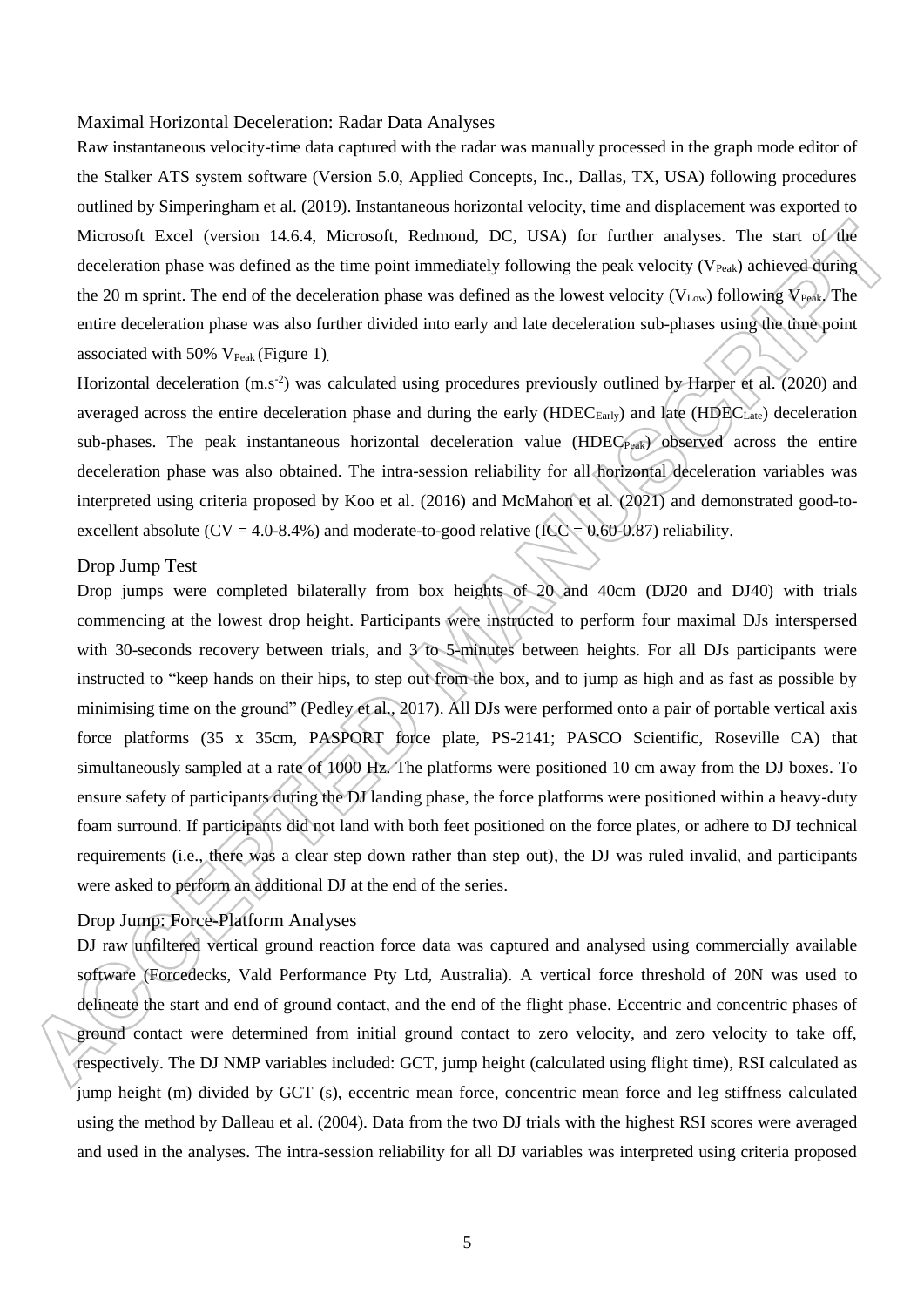#### Maximal Horizontal Deceleration: Radar Data Analyses

Raw instantaneous velocity-time data captured with the radar was manually processed in the graph mode editor of the Stalker ATS system software (Version 5.0, Applied Concepts, Inc., Dallas, TX, USA) following procedures outlined by Simperingham et al. (2019). Instantaneous horizontal velocity, time and displacement was exported to Microsoft Excel (version 14.6.4, Microsoft, Redmond, DC, USA) for further analyses. The start of the deceleration phase was defined as the time point immediately following the peak velocity ( $V_{Peak}$ ) achieved during the 20 m sprint. The end of the deceleration phase was defined as the lowest velocity (V<sub>Low</sub>) following  $\hat{V}_{\text{Peak}}$ . The entire deceleration phase was also further divided into early and late deceleration sub-phases using the time point associated with  $50\%$  V<sub>Peak</sub> (Figure 1).

Horizontal deceleration  $(m.s<sup>2</sup>)$  was calculated using procedures previously outlined by Harper et al. (2020) and averaged across the entire deceleration phase and during the early (HDEC<sub>Early</sub>) and late (HDEC<sub>Late</sub>) deceleration sub-phases. The peak instantaneous horizontal deceleration value (HDEC<sub>Peak</sub>) observed across the entire deceleration phase was also obtained. The intra-session reliability for all horizontal deceleration variables was interpreted using criteria proposed by Koo et al. (2016) and McMahon et al. (2021) and demonstrated good-toexcellent absolute ( $CV = 4.0-8.4\%$ ) and moderate-to-good relative (ICC = 0.60-0.87) reliability.

#### Drop Jump Test

Drop jumps were completed bilaterally from box heights of 20 and 40cm (DJ20 and DJ40) with trials commencing at the lowest drop height. Participants were instructed to perform four maximal DJs interspersed with 30-seconds recovery between trials, and 3 to 5-minutes between heights. For all DJs participants were instructed to "keep hands on their hips, to step out from the box, and to jump as high and as fast as possible by minimising time on the ground" (Pedley et al., 2017). All DJs were performed onto a pair of portable vertical axis force platforms (35 x 35cm, PASPORT force plate, PS-2141; PASCO Scientific, Roseville CA) that simultaneously sampled at a rate of 1000 Hz. The platforms were positioned 10 cm away from the DJ boxes. To ensure safety of participants during the DJ landing phase, the force platforms were positioned within a heavy-duty foam surround. If participants did not land with both feet positioned on the force plates, or adhere to DJ technical requirements (i.e., there was a clear step down rather than step out), the DJ was ruled invalid, and participants were asked to perform an additional DJ at the end of the series.

## Drop Jump: Force-Platform Analyses

DJ raw unfiltered vertical ground reaction force data was captured and analysed using commercially available software (Forcedecks, Vald Performance Pty Ltd, Australia). A vertical force threshold of 20N was used to delineate the start and end of ground contact, and the end of the flight phase. Eccentric and concentric phases of ground contact were determined from initial ground contact to zero velocity, and zero velocity to take off, respectively. The DJ NMP variables included: GCT, jump height (calculated using flight time), RSI calculated as jump height (m) divided by GCT (s), eccentric mean force, concentric mean force and leg stiffness calculated using the method by Dalleau et al. (2004). Data from the two DJ trials with the highest RSI scores were averaged and used in the analyses. The intra-session reliability for all DJ variables was interpreted using criteria proposed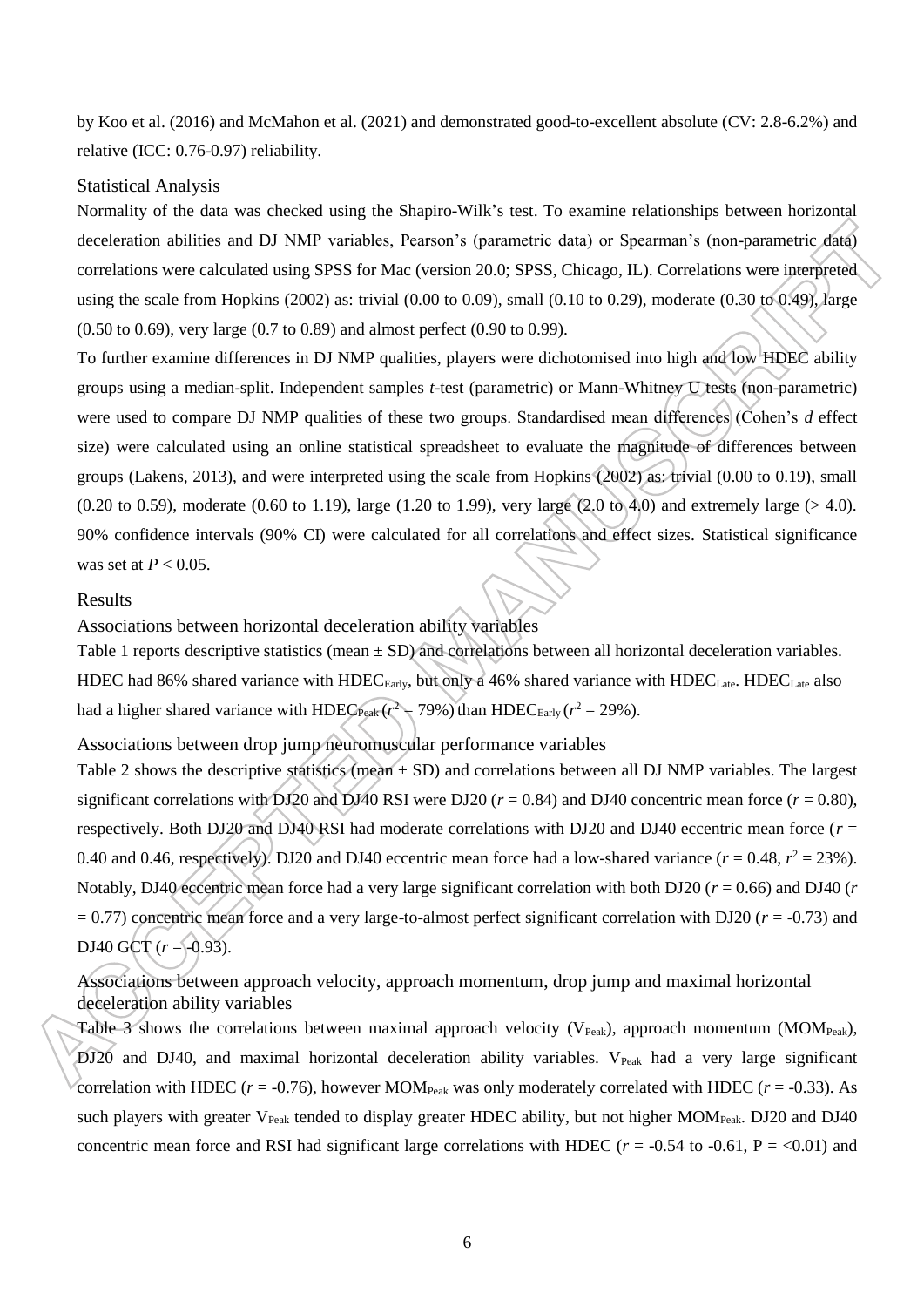by Koo et al. (2016) and McMahon et al. (2021) and demonstrated good-to-excellent absolute (CV: 2.8-6.2%) and relative (ICC: 0.76-0.97) reliability.

#### Statistical Analysis

Normality of the data was checked using the Shapiro-Wilk's test. To examine relationships between horizontal deceleration abilities and DJ NMP variables, Pearson's (parametric data) or Spearman's (non-parametric data) correlations were calculated using SPSS for Mac (version 20.0; SPSS, Chicago, IL). Correlations were interpreted using the scale from Hopkins (2002) as: trivial (0.00 to 0.09), small (0.10 to 0.29), moderate (0.30 to 0.49), large (0.50 to 0.69), very large (0.7 to 0.89) and almost perfect (0.90 to 0.99).

To further examine differences in DJ NMP qualities, players were dichotomised into high and low HDEC ability groups using a median-split. Independent samples *t*-test (parametric) or Mann-Whitney U tests (non-parametric) were used to compare DJ NMP qualities of these two groups. Standardised mean differences (Cohen's *d* effect size) were calculated using an online statistical spreadsheet to evaluate the magnitude of differences between groups (Lakens, 2013), and were interpreted using the scale from Hopkins (2002) as: trivial (0.00 to 0.19), small  $(0.20 \text{ to } 0.59)$ , moderate  $(0.60 \text{ to } 1.19)$ , large  $(1.20 \text{ to } 1.99)$ , very large  $(2.0 \text{ to } 4.0)$  and extremely large  $(> 4.0)$ . 90% confidence intervals (90% CI) were calculated for all correlations and effect sizes. Statistical significance was set at *P* < 0.05.

#### Results

Associations between horizontal deceleration ability variables

Table 1 reports descriptive statistics (mean  $\pm$  SD) and correlations between all horizontal deceleration variables. HDEC had 86% shared variance with HDEC<sub>Early</sub>, but only a 46% shared variance with HDEC<sub>Late</sub>. HDEC<sub>Late</sub> also had a higher shared variance with HDEC<sub>Peak</sub> ( $r^2$  = 79%) than HDEC<sub>Early</sub> ( $r^2$  = 29%).

Associations between drop jump neuromuscular performance variables

Table 2 shows the descriptive statistics (mean  $\pm$  SD) and correlations between all DJ NMP variables. The largest significant correlations with DJ20 and DJ40 RSI were DJ20 ( $r = 0.84$ ) and DJ40 concentric mean force ( $r = 0.80$ ), respectively. Both DJ20 and DJ40 RSI had moderate correlations with DJ20 and DJ40 eccentric mean force (*r* = 0.40 and 0.46, respectively). DJ20 and DJ40 eccentric mean force had a low-shared variance ( $r = 0.48$ ,  $r^2 = 23$ %). Notably, DJ40 eccentric mean force had a very large significant correlation with both DJ20 (*r* = 0.66) and DJ40 (*r*  $= 0.77$ ) concentric mean force and a very large-to-almost perfect significant correlation with DJ20 ( $r = -0.73$ ) and DJ40 GCT  $(r = -0.93)$ .

Associations between approach velocity, approach momentum, drop jump and maximal horizontal deceleration ability variables

Table 3 shows the correlations between maximal approach velocity ( $V_{Peak}$ ), approach momentum (MOM<sub>Peak</sub>),  $DJ20$  and  $DJ40$ , and maximal horizontal deceleration ability variables.  $V_{Peak}$  had a very large significant correlation with HDEC ( $r = -0.76$ ), however MOM<sub>Peak</sub> was only moderately correlated with HDEC ( $r = -0.33$ ). As such players with greater V<sub>Peak</sub> tended to display greater HDEC ability, but not higher MOM<sub>Peak</sub>. DJ20 and DJ40 concentric mean force and RSI had significant large correlations with HDEC ( $r = -0.54$  to  $-0.61$ , P = <0.01) and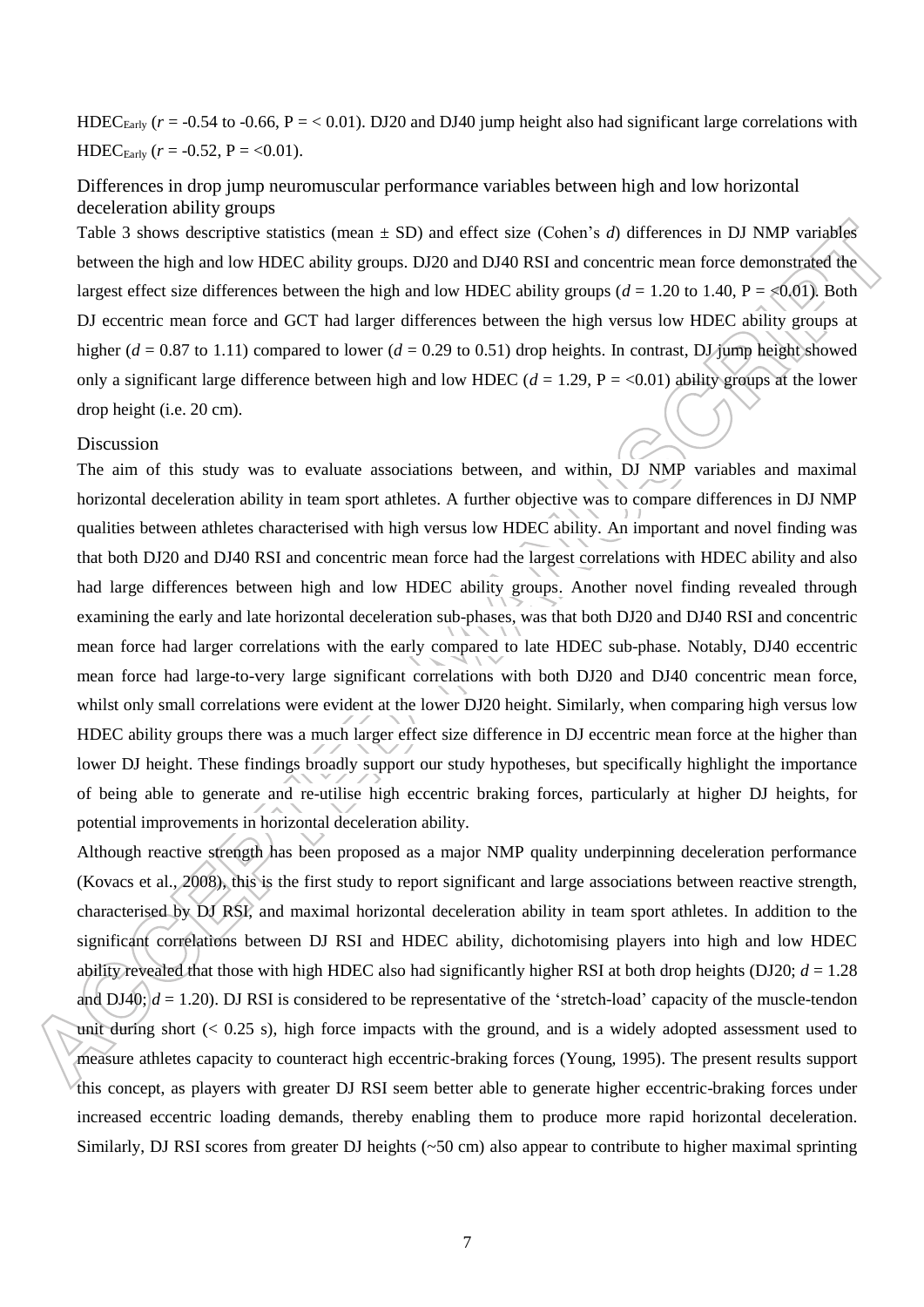HDEC<sub>Early</sub>  $(r = -0.54$  to  $-0.66$ ,  $P = < 0.01$ ). DJ20 and DJ40 jump height also had significant large correlations with HDEC<sub>Early</sub>  $(r = -0.52, P = <0.01)$ .

## Differences in drop jump neuromuscular performance variables between high and low horizontal deceleration ability groups

Table 3 shows descriptive statistics (mean  $\pm$  SD) and effect size (Cohen's *d*) differences in DJ NMP variables between the high and low HDEC ability groups. DJ20 and DJ40 RSI and concentric mean force demonstrated the largest effect size differences between the high and low HDEC ability groups ( $d = 1.20$  to 1.40,  $P = \le 0.01$ ). Both DJ eccentric mean force and GCT had larger differences between the high versus low HDEC ability groups at higher ( $d = 0.87$  to 1.11) compared to lower ( $d = 0.29$  to 0.51) drop heights. In contrast, DJ jump height showed only a significant large difference between high and low HDEC ( $d = 1.29$ ,  $P = <0.01$ ) ability groups at the lower drop height (i.e. 20 cm).

#### Discussion

The aim of this study was to evaluate associations between, and within, DJ NMP variables and maximal horizontal deceleration ability in team sport athletes. A further objective was to compare differences in DJ NMP qualities between athletes characterised with high versus low HDEC ability. An important and novel finding was that both DJ20 and DJ40 RSI and concentric mean force had the largest correlations with HDEC ability and also had large differences between high and low HDEC ability groups. Another novel finding revealed through examining the early and late horizontal deceleration sub-phases, was that both DJ20 and DJ40 RSI and concentric mean force had larger correlations with the early compared to late HDEC sub-phase. Notably, DJ40 eccentric mean force had large-to-very large significant correlations with both DJ20 and DJ40 concentric mean force, whilst only small correlations were evident at the lower DJ20 height. Similarly, when comparing high versus low HDEC ability groups there was a much larger effect size difference in DJ eccentric mean force at the higher than lower DJ height. These findings broadly support our study hypotheses, but specifically highlight the importance of being able to generate and re-utilise high eccentric braking forces, particularly at higher DJ heights, for potential improvements in horizontal deceleration ability.

Although reactive strength has been proposed as a major NMP quality underpinning deceleration performance (Kovacs et al., 2008), this is the first study to report significant and large associations between reactive strength, characterised by DJ RSI, and maximal horizontal deceleration ability in team sport athletes. In addition to the significant correlations between DJ RSI and HDEC ability, dichotomising players into high and low HDEC ability revealed that those with high HDEC also had significantly higher RSI at both drop heights (DJ20;  $d = 1.28$ ) and  $DJ40$ ;  $d = 1.20$ ). DJ RSI is considered to be representative of the 'stretch-load' capacity of the muscle-tendon unit during short  $( $0.25 \text{ s}$ ), high force impacts with the ground, and is a widely adopted assessment used to$ measure athletes capacity to counteract high eccentric-braking forces (Young, 1995). The present results support this concept, as players with greater DJ RSI seem better able to generate higher eccentric-braking forces under increased eccentric loading demands, thereby enabling them to produce more rapid horizontal deceleration. Similarly, DJ RSI scores from greater DJ heights ( $\sim$ 50 cm) also appear to contribute to higher maximal sprinting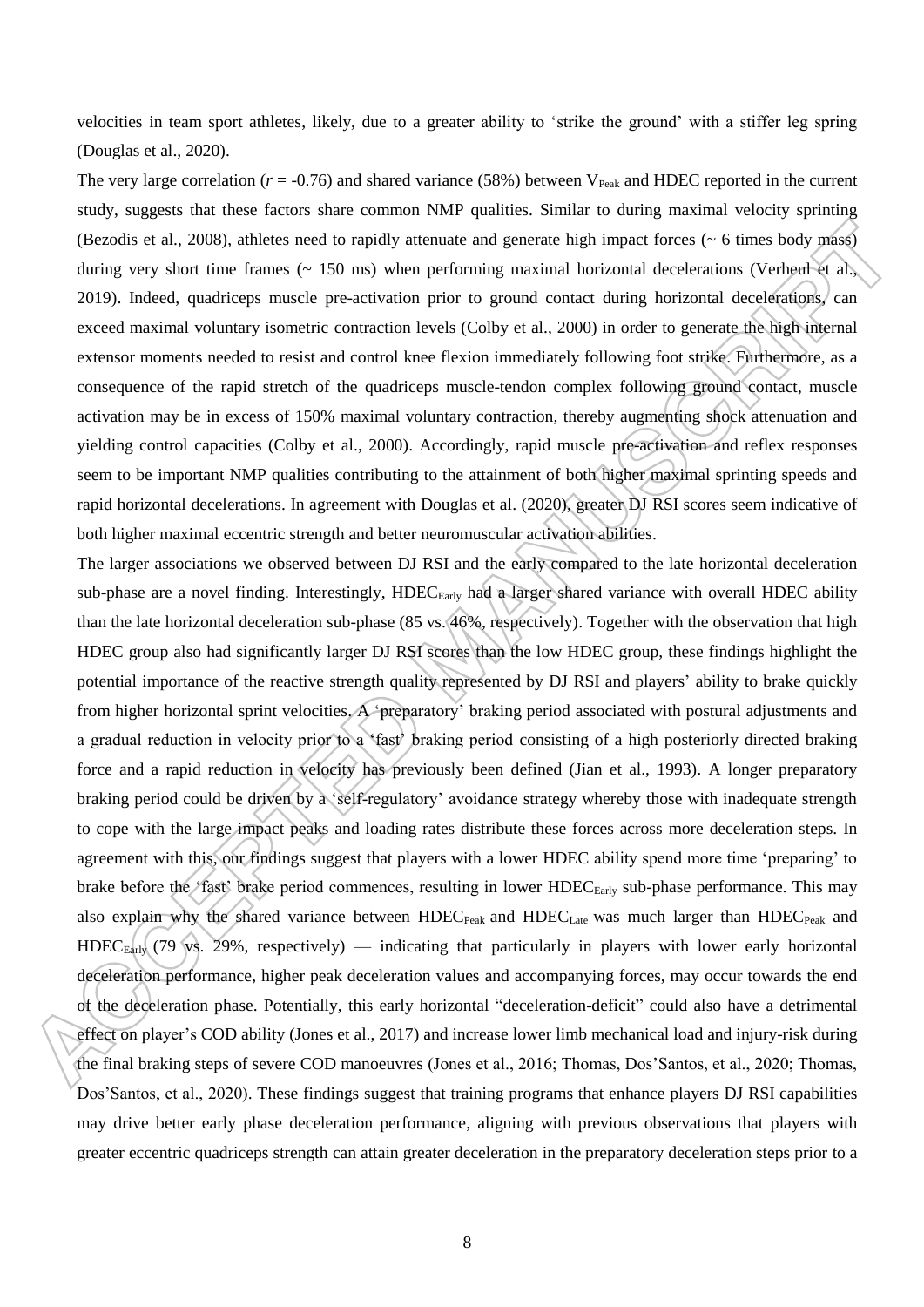velocities in team sport athletes, likely, due to a greater ability to 'strike the ground' with a stiffer leg spring (Douglas et al., 2020).

The very large correlation ( $r = -0.76$ ) and shared variance (58%) between V<sub>Peak</sub> and HDEC reported in the current study, suggests that these factors share common NMP qualities. Similar to during maximal velocity sprinting (Bezodis et al., 2008), athletes need to rapidly attenuate and generate high impact forces (~ 6 times body mass) during very short time frames (~ 150 ms) when performing maximal horizontal decelerations (Verheul et al., 2019). Indeed, quadriceps muscle pre-activation prior to ground contact during horizontal decelerations, can exceed maximal voluntary isometric contraction levels (Colby et al., 2000) in order to generate the high internal extensor moments needed to resist and control knee flexion immediately following foot strike. Furthermore, as a consequence of the rapid stretch of the quadriceps muscle-tendon complex following ground contact, muscle activation may be in excess of 150% maximal voluntary contraction, thereby augmenting shock attenuation and yielding control capacities (Colby et al., 2000). Accordingly, rapid muscle pre-activation and reflex responses seem to be important NMP qualities contributing to the attainment of both higher maximal sprinting speeds and rapid horizontal decelerations. In agreement with Douglas et al. (2020), greater DJ RSI scores seem indicative of both higher maximal eccentric strength and better neuromuscular activation abilities.

The larger associations we observed between DJ RSI and the early compared to the late horizontal deceleration sub-phase are a novel finding. Interestingly, HDEC<sub>Early</sub> had a larger shared variance with overall HDEC ability than the late horizontal deceleration sub-phase (85 vs. 46%, respectively). Together with the observation that high HDEC group also had significantly larger DJ RSI scores than the low HDEC group, these findings highlight the potential importance of the reactive strength quality represented by DJ RSI and players' ability to brake quickly from higher horizontal sprint velocities. A 'preparatory' braking period associated with postural adjustments and a gradual reduction in velocity prior to a 'fast' braking period consisting of a high posteriorly directed braking force and a rapid reduction in velocity has previously been defined (Jian et al., 1993). A longer preparatory braking period could be driven by a 'self-regulatory' avoidance strategy whereby those with inadequate strength to cope with the large impact peaks and loading rates distribute these forces across more deceleration steps. In agreement with this, our findings suggest that players with a lower HDEC ability spend more time 'preparing' to brake before the 'fast' brake period commences, resulting in lower HDEC<sub>Early</sub> sub-phase performance. This may also explain why the shared variance between HDEC<sub>Peak</sub> and HDEC<sub>Late</sub> was much larger than HDEC<sub>Peak</sub> and  $HDEC_{Earth}$  (79 vs. 29%, respectively) — indicating that particularly in players with lower early horizontal deceleration performance, higher peak deceleration values and accompanying forces, may occur towards the end of the deceleration phase. Potentially, this early horizontal "deceleration-deficit" could also have a detrimental effect on player's COD ability (Jones et al., 2017) and increase lower limb mechanical load and injury-risk during the final braking steps of severe COD manoeuvres (Jones et al., 2016; Thomas, Dos'Santos, et al., 2020; Thomas, Dos'Santos, et al., 2020). These findings suggest that training programs that enhance players DJ RSI capabilities may drive better early phase deceleration performance, aligning with previous observations that players with greater eccentric quadriceps strength can attain greater deceleration in the preparatory deceleration steps prior to a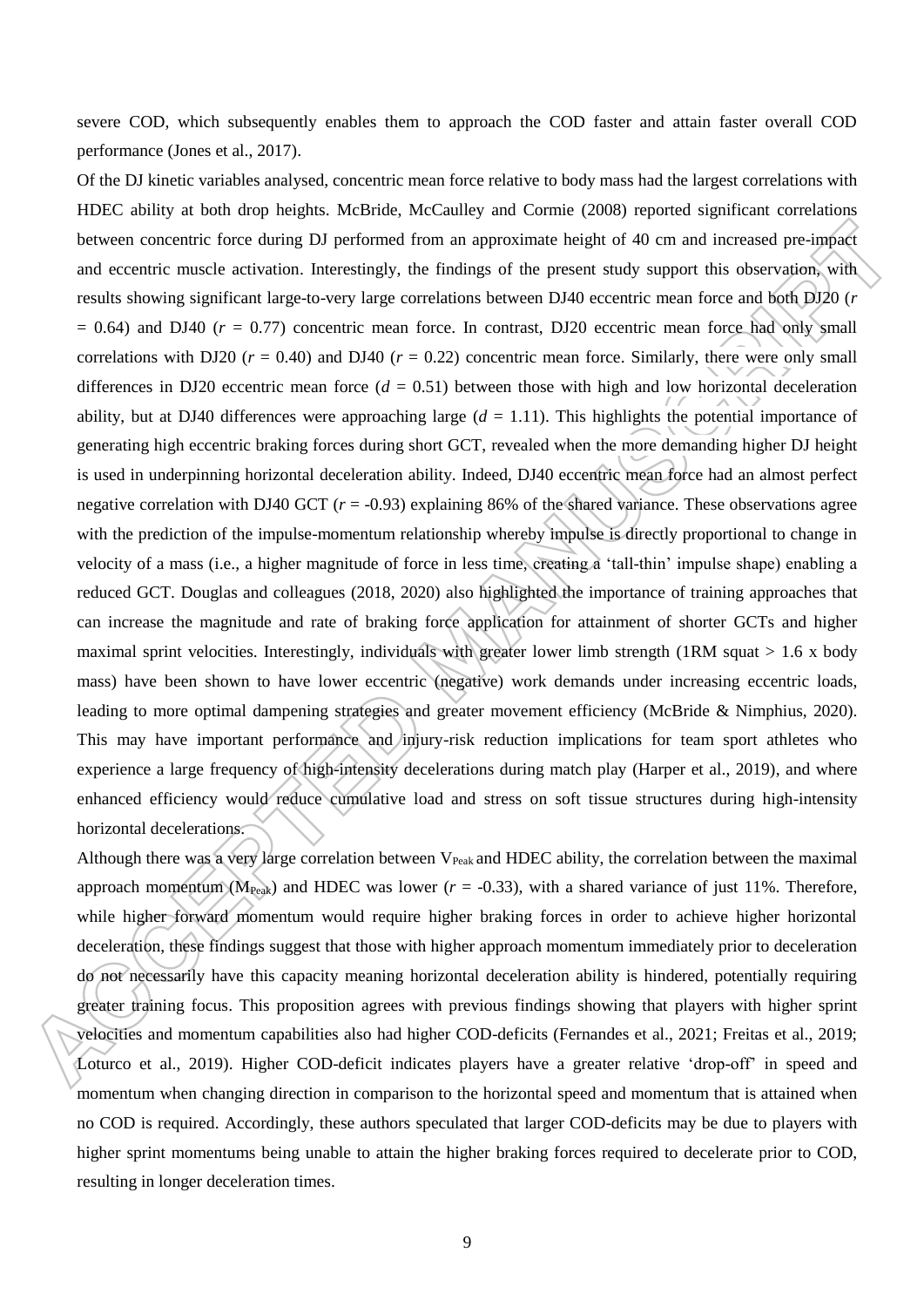severe COD, which subsequently enables them to approach the COD faster and attain faster overall COD performance (Jones et al., 2017).

Of the DJ kinetic variables analysed, concentric mean force relative to body mass had the largest correlations with HDEC ability at both drop heights. McBride, McCaulley and Cormie (2008) reported significant correlations between concentric force during DJ performed from an approximate height of 40 cm and increased pre-impact and eccentric muscle activation. Interestingly, the findings of the present study support this observation, with results showing significant large-to-very large correlations between DJ40 eccentric mean force and both DJ20 (*r*  $= 0.64$ ) and DJ40 ( $r = 0.77$ ) concentric mean force. In contrast, DJ20 eccentric mean force had only small correlations with DJ20 ( $r = 0.40$ ) and DJ40 ( $r = 0.22$ ) concentric mean force. Similarly, there were only small differences in DJ20 eccentric mean force  $(d = 0.51)$  between those with high and low horizontal deceleration ability, but at DJ40 differences were approaching large  $(d = 1.11)$ . This highlights the potential importance of generating high eccentric braking forces during short GCT, revealed when the more demanding higher DJ height is used in underpinning horizontal deceleration ability. Indeed, DJ40 eccentric mean force had an almost perfect negative correlation with DJ40 GCT  $(r = -0.93)$  explaining 86% of the shared variance. These observations agree with the prediction of the impulse-momentum relationship whereby impulse is directly proportional to change in velocity of a mass (i.e., a higher magnitude of force in less time, creating a 'tall-thin' impulse shape) enabling a reduced GCT. Douglas and colleagues (2018, 2020) also highlighted the importance of training approaches that can increase the magnitude and rate of braking force application for attainment of shorter GCTs and higher maximal sprint velocities. Interestingly, individuals with greater lower limb strength (1RM squat  $> 1.6$  x body mass) have been shown to have lower eccentric (negative) work demands under increasing eccentric loads, leading to more optimal dampening strategies and greater movement efficiency (McBride & Nimphius, 2020). This may have important performance and injury-risk reduction implications for team sport athletes who experience a large frequency of high-intensity decelerations during match play (Harper et al., 2019), and where enhanced efficiency would reduce cumulative load and stress on soft tissue structures during high-intensity horizontal decelerations.

Although there was a very large correlation between  $V_{Peak}$  and HDEC ability, the correlation between the maximal approach momentum ( $M_{Peak}$ ) and HDEC was lower ( $r = -0.33$ ), with a shared variance of just 11%. Therefore, while higher forward momentum would require higher braking forces in order to achieve higher horizontal deceleration, these findings suggest that those with higher approach momentum immediately prior to deceleration do not necessarily have this capacity meaning horizontal deceleration ability is hindered, potentially requiring greater training focus. This proposition agrees with previous findings showing that players with higher sprint velocities and momentum capabilities also had higher COD-deficits (Fernandes et al., 2021; Freitas et al., 2019; Loturco et al., 2019). Higher COD-deficit indicates players have a greater relative 'drop-off' in speed and momentum when changing direction in comparison to the horizontal speed and momentum that is attained when no COD is required. Accordingly, these authors speculated that larger COD-deficits may be due to players with higher sprint momentums being unable to attain the higher braking forces required to decelerate prior to COD, resulting in longer deceleration times.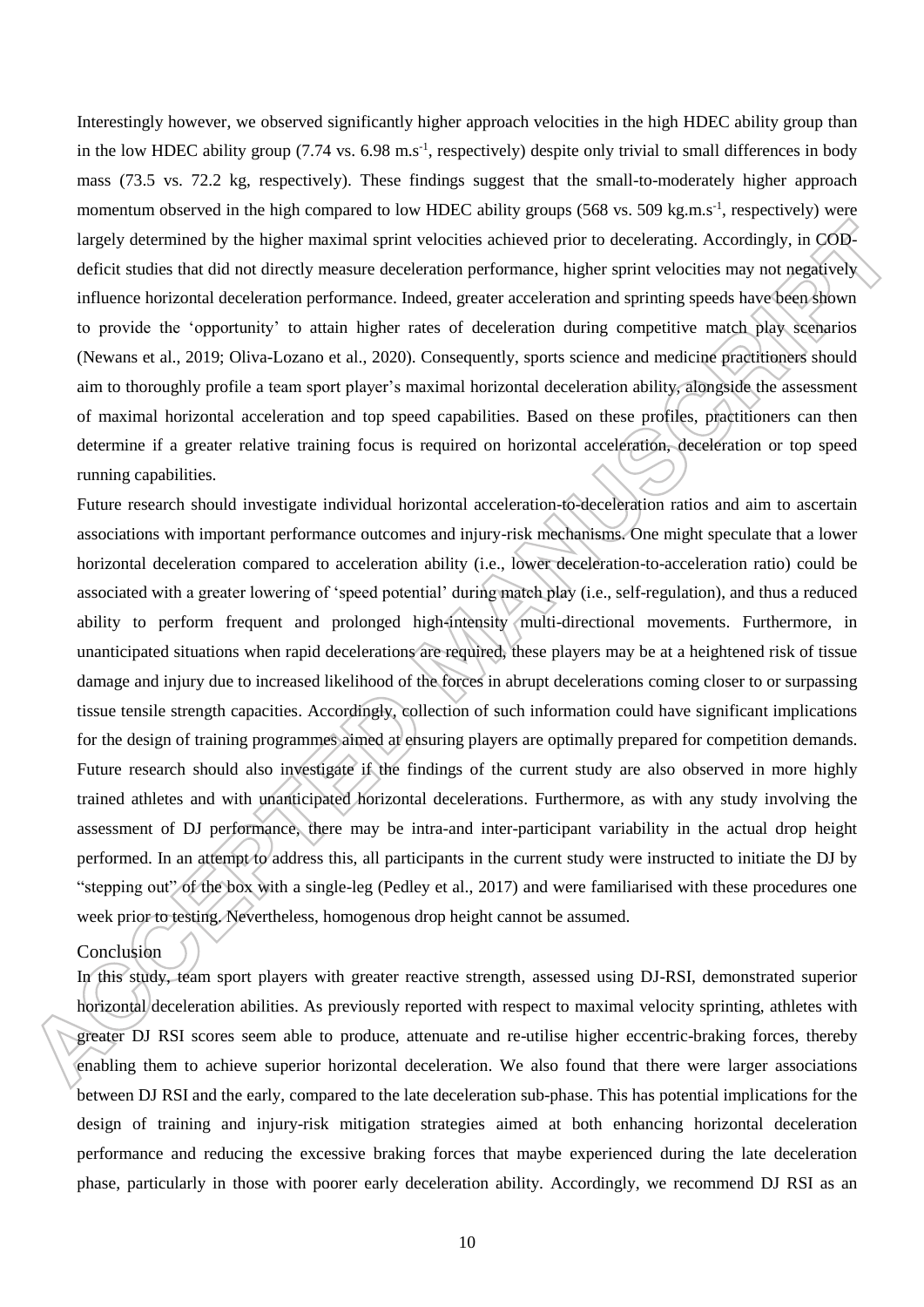Interestingly however, we observed significantly higher approach velocities in the high HDEC ability group than in the low HDEC ability group  $(7.74 \text{ vs. } 6.98 \text{ m.s}^{-1}$ , respectively) despite only trivial to small differences in body mass (73.5 vs. 72.2 kg, respectively). These findings suggest that the small-to-moderately higher approach momentum observed in the high compared to low HDEC ability groups (568 vs. 509 kg.m.s<sup>-1</sup>, respectively) were largely determined by the higher maximal sprint velocities achieved prior to decelerating. Accordingly, in CODdeficit studies that did not directly measure deceleration performance, higher sprint velocities may not negatively influence horizontal deceleration performance. Indeed, greater acceleration and sprinting speeds have been shown to provide the 'opportunity' to attain higher rates of deceleration during competitive match play scenarios (Newans et al., 2019; Oliva-Lozano et al., 2020). Consequently, sports science and medicine practitioners should aim to thoroughly profile a team sport player's maximal horizontal deceleration ability, alongside the assessment of maximal horizontal acceleration and top speed capabilities. Based on these profiles, practitioners can then determine if a greater relative training focus is required on horizontal acceleration, deceleration or top speed running capabilities.

Future research should investigate individual horizontal acceleration-to-deceleration ratios and aim to ascertain associations with important performance outcomes and injury-risk mechanisms. One might speculate that a lower horizontal deceleration compared to acceleration ability (i.e., lower deceleration-to-acceleration ratio) could be associated with a greater lowering of 'speed potential' during match play (i.e., self-regulation), and thus a reduced ability to perform frequent and prolonged high-intensity multi-directional movements. Furthermore, in unanticipated situations when rapid decelerations are required, these players may be at a heightened risk of tissue damage and injury due to increased likelihood of the forces in abrupt decelerations coming closer to or surpassing tissue tensile strength capacities. Accordingly, collection of such information could have significant implications for the design of training programmes aimed at ensuring players are optimally prepared for competition demands. Future research should also investigate if the findings of the current study are also observed in more highly trained athletes and with unanticipated horizontal decelerations. Furthermore, as with any study involving the assessment of DJ performance, there may be intra-and inter-participant variability in the actual drop height performed. In an attempt to address this, all participants in the current study were instructed to initiate the DJ by "stepping out" of the box with a single-leg (Pedley et al., 2017) and were familiarised with these procedures one week prior to testing. Nevertheless, homogenous drop height cannot be assumed.

## Conclusion

In this study, team sport players with greater reactive strength, assessed using DJ-RSI, demonstrated superior horizontal deceleration abilities. As previously reported with respect to maximal velocity sprinting, athletes with greater DJ RSI scores seem able to produce, attenuate and re-utilise higher eccentric-braking forces, thereby enabling them to achieve superior horizontal deceleration. We also found that there were larger associations between DJ RSI and the early, compared to the late deceleration sub-phase. This has potential implications for the design of training and injury-risk mitigation strategies aimed at both enhancing horizontal deceleration performance and reducing the excessive braking forces that maybe experienced during the late deceleration phase, particularly in those with poorer early deceleration ability. Accordingly, we recommend DJ RSI as an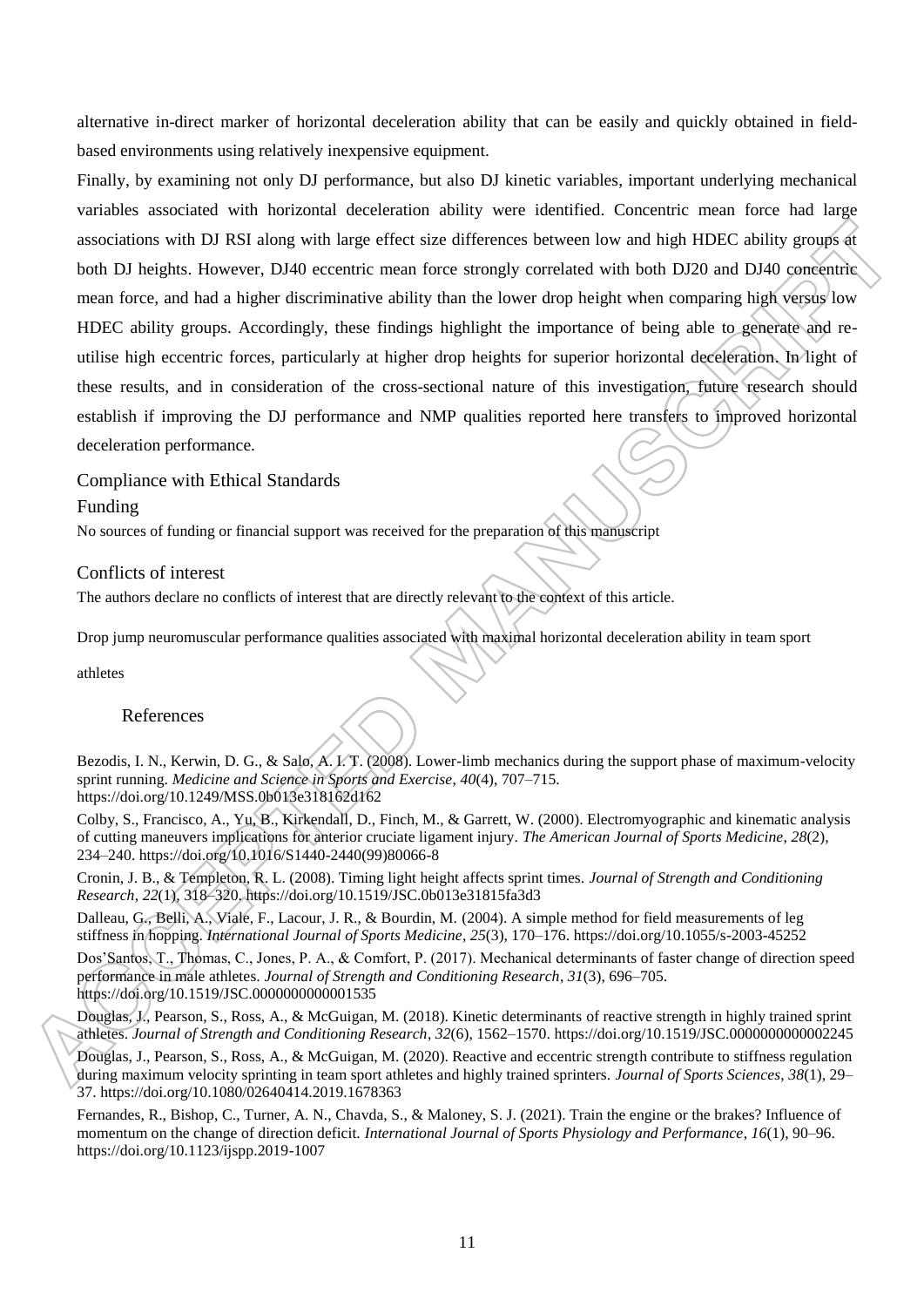alternative in-direct marker of horizontal deceleration ability that can be easily and quickly obtained in fieldbased environments using relatively inexpensive equipment.

Finally, by examining not only DJ performance, but also DJ kinetic variables, important underlying mechanical variables associated with horizontal deceleration ability were identified. Concentric mean force had large associations with DJ RSI along with large effect size differences between low and high HDEC ability groups at both DJ heights. However, DJ40 eccentric mean force strongly correlated with both DJ20 and DJ40 concentric mean force, and had a higher discriminative ability than the lower drop height when comparing high versus low HDEC ability groups. Accordingly, these findings highlight the importance of being able to generate and reutilise high eccentric forces, particularly at higher drop heights for superior horizontal deceleration. In light of these results, and in consideration of the cross-sectional nature of this investigation, future research should establish if improving the DJ performance and NMP qualities reported here transfers to improved horizontal deceleration performance.

Compliance with Ethical Standards Funding

No sources of funding or financial support was received for the preparation of this manuscript

## Conflicts of interest

The authors declare no conflicts of interest that are directly relevant to the context of this article.

Drop jump neuromuscular performance qualities associated with maximal horizontal deceleration ability in team sport

athletes

#### References

Bezodis, I. N., Kerwin, D. G., & Salo, A. I. T. (2008). Lower-limb mechanics during the support phase of maximum-velocity sprint running. *Medicine and Science in Sports and Exercise*, *40*(4), 707–715. https://doi.org/10.1249/MSS.0b013e318162d162

Colby, S., Francisco, A., Yu, B., Kirkendall, D., Finch, M., & Garrett, W. (2000). Electromyographic and kinematic analysis of cutting maneuvers implications for anterior cruciate ligament injury. *The American Journal of Sports Medicine*, *28*(2), 234–240. https://doi.org/10.1016/S1440-2440(99)80066-8

Cronin, J. B., & Templeton, R. L. (2008). Timing light height affects sprint times. *Journal of Strength and Conditioning Research*, *22*(1), 318–320. https://doi.org/10.1519/JSC.0b013e31815fa3d3

Dalleau, G., Belli, A., Viale, F., Lacour, J. R., & Bourdin, M. (2004). A simple method for field measurements of leg stiffness in hopping. *International Journal of Sports Medicine*, *25*(3), 170–176. https://doi.org/10.1055/s-2003-45252

Dos'Santos, T., Thomas, C., Jones, P. A., & Comfort, P. (2017). Mechanical determinants of faster change of direction speed performance in male athletes. *Journal of Strength and Conditioning Research*, *31*(3), 696–705. https://doi.org/10.1519/JSC.0000000000001535

Douglas, J., Pearson, S., Ross, A., & McGuigan, M. (2018). Kinetic determinants of reactive strength in highly trained sprint athletes. *Journal of Strength and Conditioning Research*, *32*(6), 1562–1570. https://doi.org/10.1519/JSC.0000000000002245

Douglas, J., Pearson, S., Ross, A., & McGuigan, M. (2020). Reactive and eccentric strength contribute to stiffness regulation during maximum velocity sprinting in team sport athletes and highly trained sprinters. *Journal of Sports Sciences*, *38*(1), 29– 37. https://doi.org/10.1080/02640414.2019.1678363

Fernandes, R., Bishop, C., Turner, A. N., Chavda, S., & Maloney, S. J. (2021). Train the engine or the brakes? Influence of momentum on the change of direction deficit. *International Journal of Sports Physiology and Performance*, *16*(1), 90–96. https://doi.org/10.1123/ijspp.2019-1007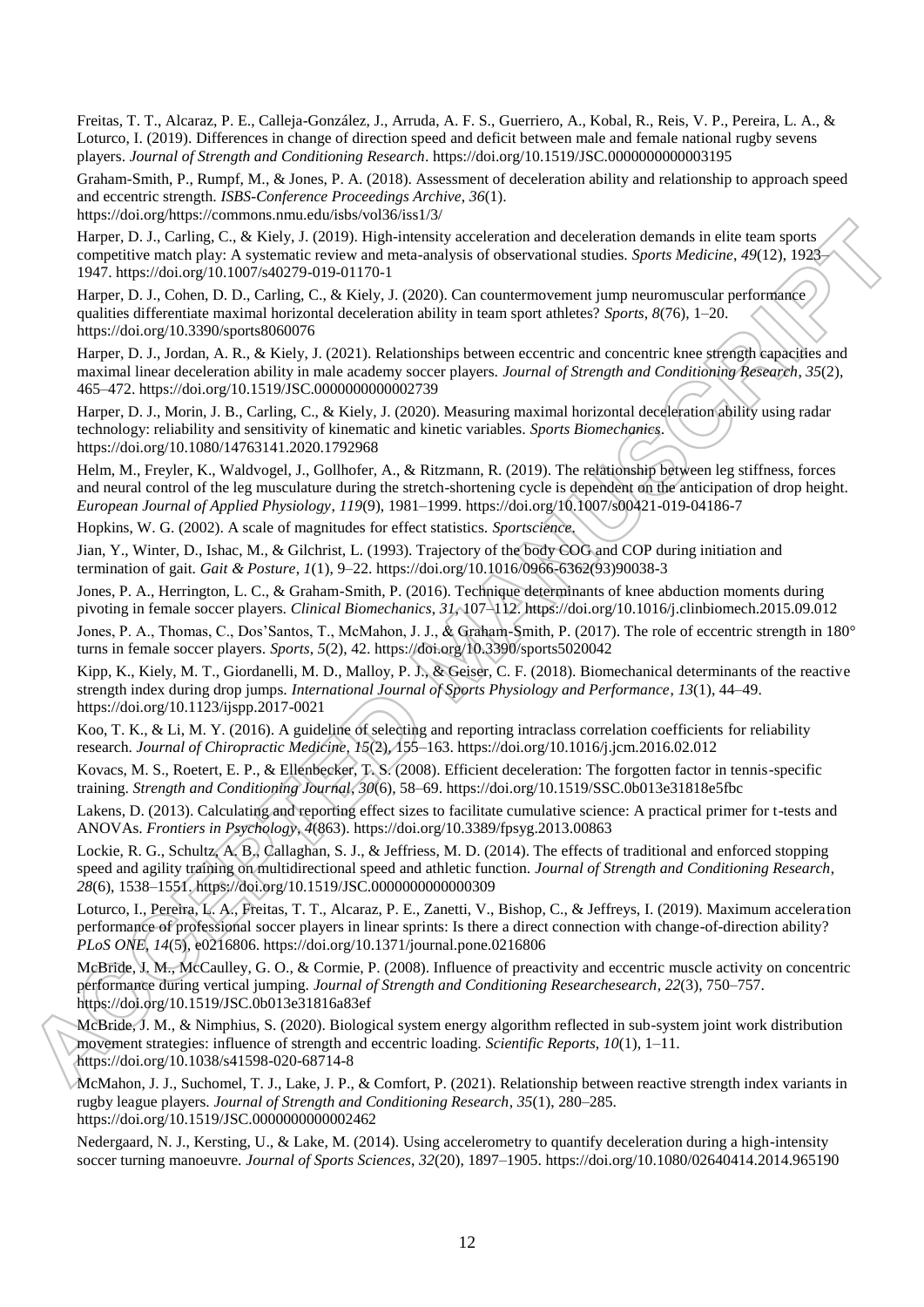Freitas, T. T., Alcaraz, P. E., Calleja-González, J., Arruda, A. F. S., Guerriero, A., Kobal, R., Reis, V. P., Pereira, L. A., & Loturco, I. (2019). Differences in change of direction speed and deficit between male and female national rugby sevens players. *Journal of Strength and Conditioning Research*. https://doi.org/10.1519/JSC.0000000000003195

Graham-Smith, P., Rumpf, M., & Jones, P. A. (2018). Assessment of deceleration ability and relationship to approach speed and eccentric strength. *ISBS-Conference Proceedings Archive*, *36*(1).

https://doi.org/https://commons.nmu.edu/isbs/vol36/iss1/3/

Harper, D. J., Carling, C., & Kiely, J. (2019). High-intensity acceleration and deceleration demands in elite team sports competitive match play: A systematic review and meta-analysis of observational studies. *Sports Medicine*, *49*(12), 1923– 1947. https://doi.org/10.1007/s40279-019-01170-1

Harper, D. J., Cohen, D. D., Carling, C., & Kiely, J. (2020). Can countermovement jump neuromuscular performance qualities differentiate maximal horizontal deceleration ability in team sport athletes? *Sports*, *8*(76), 1–20. https://doi.org/10.3390/sports8060076

Harper, D. J., Jordan, A. R., & Kiely, J. (2021). Relationships between eccentric and concentric knee strength capacities and maximal linear deceleration ability in male academy soccer players. *Journal of Strength and Conditioning Research*, *35*(2), 465–472. https://doi.org/10.1519/JSC.0000000000002739

Harper, D. J., Morin, J. B., Carling, C., & Kiely, J. (2020). Measuring maximal horizontal deceleration ability using radar technology: reliability and sensitivity of kinematic and kinetic variables. *Sports Biomechanics*. https://doi.org/10.1080/14763141.2020.1792968

Helm, M., Freyler, K., Waldvogel, J., Gollhofer, A., & Ritzmann, R. (2019). The relationship between leg stiffness, forces and neural control of the leg musculature during the stretch-shortening cycle is dependent on the anticipation of drop height. *European Journal of Applied Physiology*, *119*(9), 1981–1999. https://doi.org/10.1007/s00421-019-04186-7

Hopkins, W. G. (2002). A scale of magnitudes for effect statistics. *Sportscience*.

Jian, Y., Winter, D., Ishac, M., & Gilchrist, L. (1993). Trajectory of the body COG and COP during initiation and termination of gait. *Gait & Posture*, *1*(1), 9–22. https://doi.org/10.1016/0966-6362(93)90038-3

Jones, P. A., Herrington, L. C., & Graham-Smith, P. (2016). Technique determinants of knee abduction moments during pivoting in female soccer players. *Clinical Biomechanics*, *31*, 107–112. https://doi.org/10.1016/j.clinbiomech.2015.09.012

Jones, P. A., Thomas, C., Dos'Santos, T., McMahon, J. J., & Graham-Smith, P. (2017). The role of eccentric strength in 180° turns in female soccer players. *Sports*, *5*(2), 42. https://doi.org/10.3390/sports5020042

Kipp, K., Kiely, M. T., Giordanelli, M. D., Malloy, P. J., & Geiser, C. F. (2018). Biomechanical determinants of the reactive strength index during drop jumps. *International Journal of Sports Physiology and Performance*, *13*(1), 44–49. https://doi.org/10.1123/ijspp.2017-0021

Koo, T. K., & Li, M. Y. (2016). A guideline of selecting and reporting intraclass correlation coefficients for reliability research. *Journal of Chiropractic Medicine*, *15*(2), 155–163. https://doi.org/10.1016/j.jcm.2016.02.012

Kovacs, M. S., Roetert, E. P., & Ellenbecker, T. S. (2008). Efficient deceleration: The forgotten factor in tennis-specific training. *Strength and Conditioning Journal*, *30*(6), 58–69. https://doi.org/10.1519/SSC.0b013e31818e5fbc

Lakens, D. (2013). Calculating and reporting effect sizes to facilitate cumulative science: A practical primer for t-tests and ANOVAs. *Frontiers in Psychology*, *4*(863). https://doi.org/10.3389/fpsyg.2013.00863

Lockie, R. G., Schultz, A. B., Callaghan, S. J., & Jeffriess, M. D. (2014). The effects of traditional and enforced stopping speed and agility training on multidirectional speed and athletic function. *Journal of Strength and Conditioning Research*, *28*(6), 1538–1551. https://doi.org/10.1519/JSC.0000000000000309

Loturco, I., Pereira, L. A., Freitas, T. T., Alcaraz, P. E., Zanetti, V., Bishop, C., & Jeffreys, I. (2019). Maximum acceleration performance of professional soccer players in linear sprints: Is there a direct connection with change-of-direction ability? *PLoS ONE*, *14*(5), e0216806. https://doi.org/10.1371/journal.pone.0216806

McBride, J. M., McCaulley, G. O., & Cormie, P. (2008). Influence of preactivity and eccentric muscle activity on concentric performance during vertical jumping. *Journal of Strength and Conditioning Researchesearch*, *22*(3), 750–757. https://doi.org/10.1519/JSC.0b013e31816a83ef

McBride, J. M., & Nimphius, S. (2020). Biological system energy algorithm reflected in sub-system joint work distribution movement strategies: influence of strength and eccentric loading. *Scientific Reports*, *10*(1), 1–11. https://doi.org/10.1038/s41598-020-68714-8

McMahon, J. J., Suchomel, T. J., Lake, J. P., & Comfort, P. (2021). Relationship between reactive strength index variants in rugby league players. *Journal of Strength and Conditioning Research*, *35*(1), 280–285. https://doi.org/10.1519/JSC.0000000000002462

Nedergaard, N. J., Kersting, U., & Lake, M. (2014). Using accelerometry to quantify deceleration during a high-intensity soccer turning manoeuvre. *Journal of Sports Sciences*, *32*(20), 1897–1905. https://doi.org/10.1080/02640414.2014.965190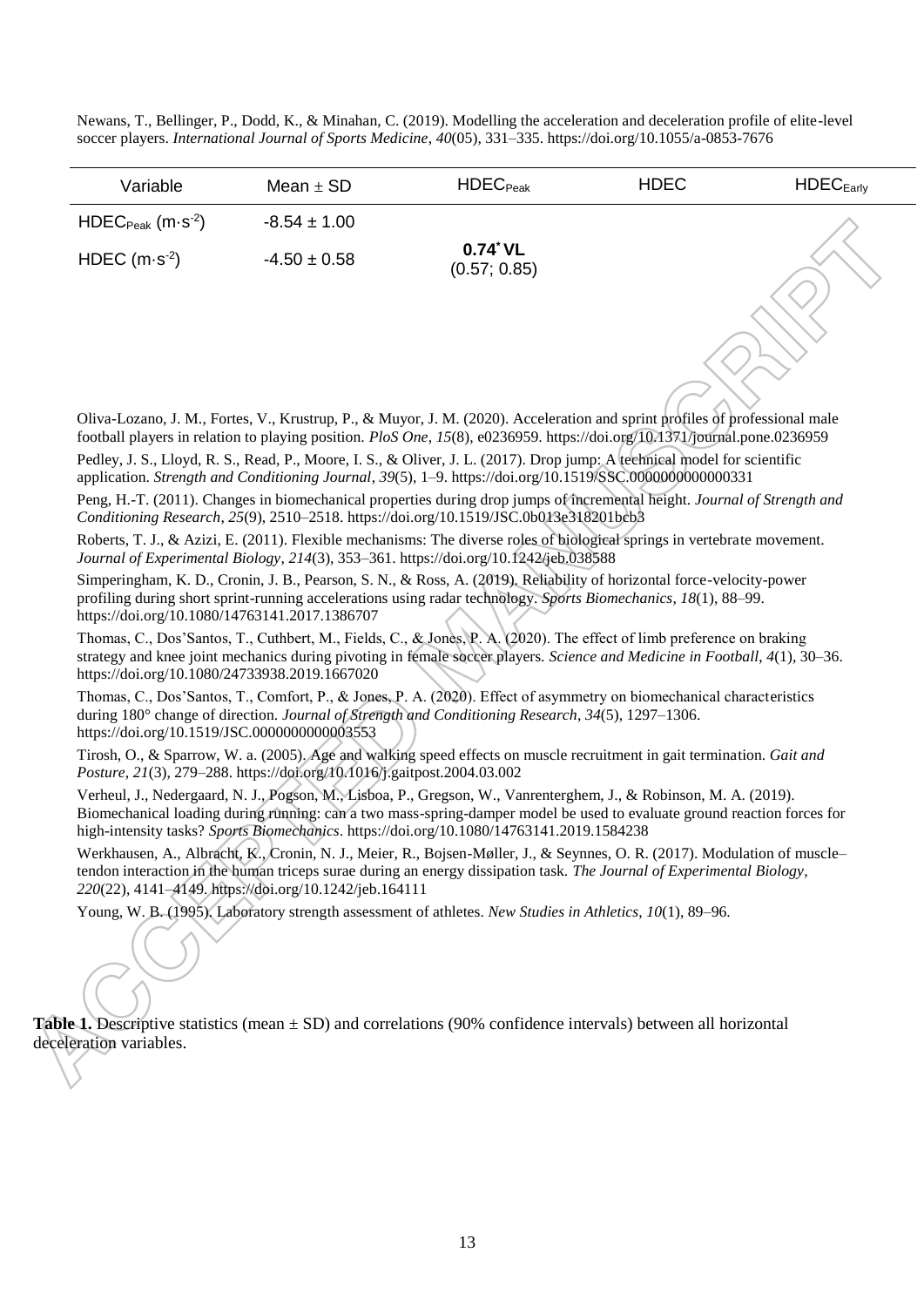Newans, T., Bellinger, P., Dodd, K., & Minahan, C. (2019). Modelling the acceleration and deceleration profile of elite-level soccer players. *International Journal of Sports Medicine*, *40*(05), 331–335. https://doi.org/10.1055/a-0853-7676

| Variable                | Mean $\pm$ SD    | $HDEC_{Peak}$                     | <b>HDEC</b> | HDEC <sub>Early</sub> |
|-------------------------|------------------|-----------------------------------|-------------|-----------------------|
| $HDEC_{Peak}$ $(m·s-2)$ | $-8.54 \pm 1.00$ |                                   |             |                       |
| HDEC $(m \cdot s^{-2})$ | $-4.50 \pm 0.58$ | $0.74^{\circ}$ VL<br>(0.57; 0.85) |             |                       |

Oliva-Lozano, J. M., Fortes, V., Krustrup, P., & Muyor, J. M. (2020). Acceleration and sprint profiles of professional male football players in relation to playing position. *PloS One*, *15*(8), e0236959. https://doi.org/10.1371/journal.pone.0236959

Pedley, J. S., Lloyd, R. S., Read, P., Moore, I. S., & Oliver, J. L. (2017). Drop jump: A technical model for scientific application. *Strength and Conditioning Journal*, *39*(5), 1–9. https://doi.org/10.1519/SSC.0000000000000331

Peng, H.-T. (2011). Changes in biomechanical properties during drop jumps of incremental height. *Journal of Strength and Conditioning Research*, *25*(9), 2510–2518. https://doi.org/10.1519/JSC.0b013e318201bcb3

Roberts, T. J., & Azizi, E. (2011). Flexible mechanisms: The diverse roles of biological springs in vertebrate movement. *Journal of Experimental Biology*, *214*(3), 353–361. https://doi.org/10.1242/jeb.038588

Simperingham, K. D., Cronin, J. B., Pearson, S. N., & Ross, A. (2019). Reliability of horizontal force-velocity-power profiling during short sprint-running accelerations using radar technology. *Sports Biomechanics*, *18*(1), 88–99. https://doi.org/10.1080/14763141.2017.1386707

Thomas, C., Dos'Santos, T., Cuthbert, M., Fields, C., & Jones, P. A. (2020). The effect of limb preference on braking strategy and knee joint mechanics during pivoting in female soccer players. *Science and Medicine in Football*, *4*(1), 30–36. https://doi.org/10.1080/24733938.2019.1667020

Thomas, C., Dos'Santos, T., Comfort, P., & Jones, P. A. (2020). Effect of asymmetry on biomechanical characteristics during 180° change of direction. *Journal of Strength and Conditioning Research*, *34*(5), 1297–1306. https://doi.org/10.1519/JSC.0000000000003553

Tirosh, O., & Sparrow, W. a. (2005). Age and walking speed effects on muscle recruitment in gait termination. *Gait and Posture*, *21*(3), 279–288. https://doi.org/10.1016/j.gaitpost.2004.03.002

Verheul, J., Nedergaard, N. J., Pogson, M., Lisboa, P., Gregson, W., Vanrenterghem, J., & Robinson, M. A. (2019). Biomechanical loading during running: can a two mass-spring-damper model be used to evaluate ground reaction forces for high-intensity tasks? *Sports Biomechanics*. https://doi.org/10.1080/14763141.2019.1584238

Werkhausen, A., Albracht, K., Cronin, N. J., Meier, R., Bojsen-Møller, J., & Seynnes, O. R. (2017). Modulation of muscle– tendon interaction in the human triceps surae during an energy dissipation task. *The Journal of Experimental Biology*, *220*(22), 4141–4149. https://doi.org/10.1242/jeb.164111

Young, W. B. (1995). Laboratory strength assessment of athletes. *New Studies in Athletics*, *10*(1), 89–96.

**Table 1.** Descriptive statistics (mean  $\pm$  SD) and correlations (90% confidence intervals) between all horizontal deceleration variables.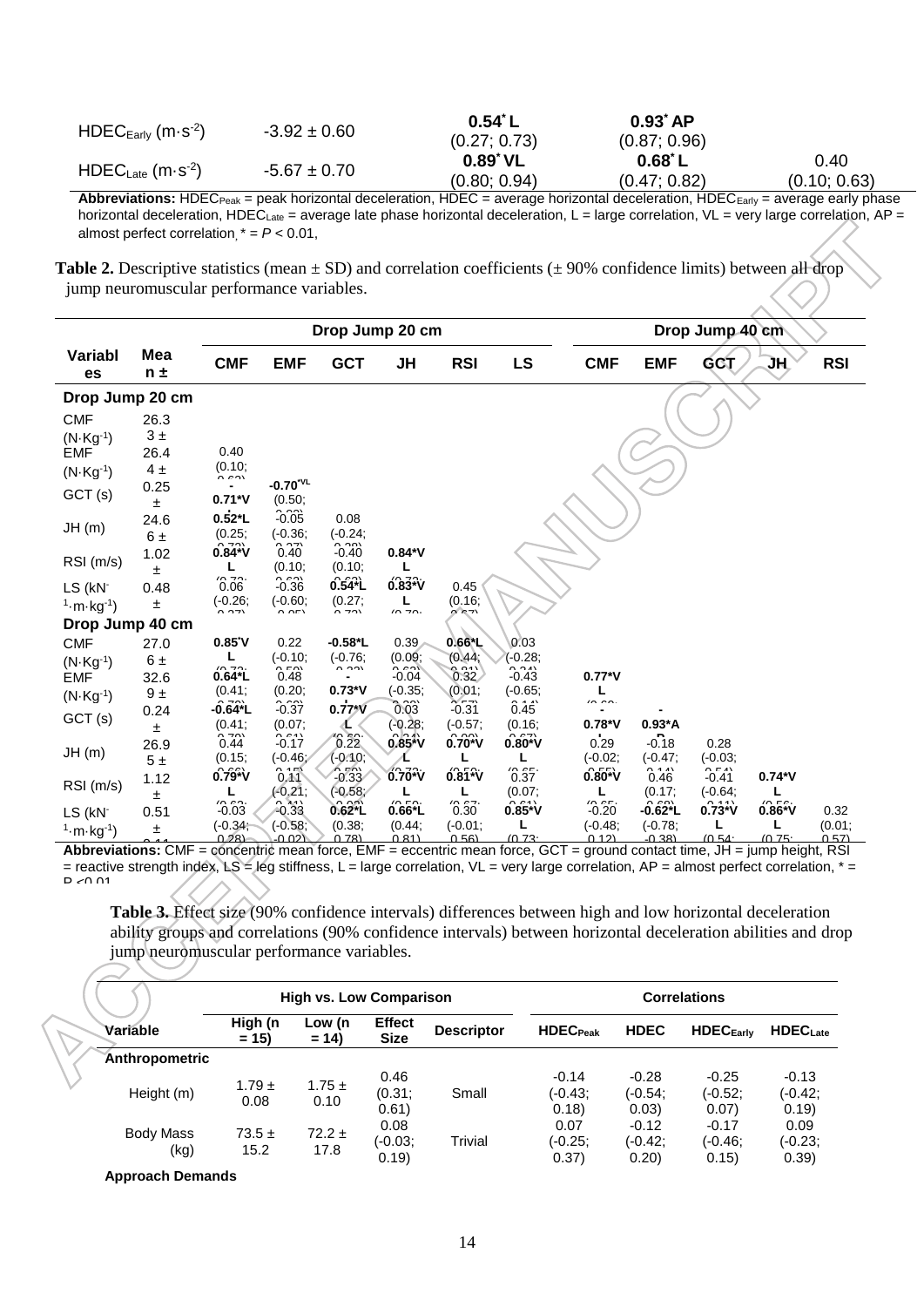| $HDEC_{Early}$ (m $\cdot$ s <sup>-2</sup> ) | $-3.92 \pm 0.60$ | 0.54˚ L      | $0.93$ $AP$        |              |
|---------------------------------------------|------------------|--------------|--------------------|--------------|
|                                             |                  | (0.27; 0.73) | (0.87; 0.96)       |              |
| $HDEC_{\text{Late}}$ (m·s <sup>-2</sup> )   | $-5.67 \pm 0.70$ | 0.89˚ VL     | $0.68^{\degree}$ L | 0.40         |
|                                             |                  | (0.80; 0.94) | (0.47; 0.82)       | (0.10; 0.63) |

**Abbreviations:** HDEC<sub>Peak</sub> = peak horizontal deceleration, HDEC = average horizontal deceleration, HDEC<sub>Early</sub> = average early phase horizontal deceleration, HDEC<sub>Late</sub> = average late phase horizontal deceleration, L = large correlation, VL = very large correlation, AP = almost perfect correlation,  $* = P < 0.01$ ,

**Table 2.** Descriptive statistics (mean  $\pm$  SD) and correlation coefficients ( $\pm$  90% confidence limits) between all drop jump neuromuscular performance variables.

|                           |                | Drop Jump 20 cm            |                                            |                            |                         |                      |                                |                                                                                                                          |                       | Drop Jump 40 cm    |          |                |
|---------------------------|----------------|----------------------------|--------------------------------------------|----------------------------|-------------------------|----------------------|--------------------------------|--------------------------------------------------------------------------------------------------------------------------|-----------------------|--------------------|----------|----------------|
| Variabl<br>es             | Mea<br>$n \pm$ | <b>CMF</b>                 | <b>EMF</b>                                 | <b>GCT</b>                 | JH                      | <b>RSI</b>           | <b>LS</b>                      | <b>CMF</b>                                                                                                               | <b>EMF</b>            | <b>GCT</b>         | JН       | <b>RSI</b>     |
| Drop Jump 20 cm           |                |                            |                                            |                            |                         |                      |                                |                                                                                                                          |                       |                    |          |                |
| <b>CMF</b>                | 26.3           |                            |                                            |                            |                         |                      |                                |                                                                                                                          |                       |                    |          |                |
| $(N \cdot Kg^{-1})$       | 3±             |                            |                                            |                            |                         |                      |                                |                                                                                                                          |                       |                    |          |                |
| <b>EMF</b>                | 26.4           | 0.40                       |                                            |                            |                         |                      |                                |                                                                                                                          |                       |                    |          |                |
| $(N \cdot Kg^{-1})$       | 4±             | (0.10;<br>$\sim$ $\sim$    |                                            |                            |                         |                      |                                |                                                                                                                          |                       |                    |          |                |
| GCT (s)                   | 0.25<br>Ŧ      | $0.71*V$                   | $-0.70^{\text{VL}}$<br>(0.50)              |                            |                         |                      |                                |                                                                                                                          |                       |                    |          |                |
| JH(m)                     | 24.6           | $0.52*L$                   | $-0.03$                                    | 0.08                       |                         |                      |                                |                                                                                                                          |                       |                    |          |                |
|                           | 6 ±            | (0.25,<br>וחד ו            | $(-0.36)$<br>ירה ה                         | $(-0.24)$<br>$\sim$ $\sim$ |                         |                      |                                |                                                                                                                          |                       |                    |          |                |
| RSI(m/s)                  | 1.02           | $0.84*V$                   | 0.40                                       | $-0.40$                    | $0.84*V$                |                      |                                |                                                                                                                          |                       |                    |          |                |
|                           | Ŧ              | L<br>$\sim$ $\sim$         | (0.10;                                     | (0.10,                     |                         |                      |                                |                                                                                                                          |                       |                    |          |                |
| LS (kN-                   | 0.48           | 0.06                       | $-0.36$                                    | $0.54*$ L                  | $0.83^{2}V$             | 0.45                 |                                |                                                                                                                          |                       |                    |          |                |
| $1 \cdot m \cdot kg^{-1}$ | ±              | $(-0.26)$<br>$\sim$ $\sim$ | $(-0.60)$<br>$\Omega$                      | (0.27;<br>$\overline{2}$   | L<br>$\sqrt{2}$         | (0.16)<br>י− אי∕י    |                                |                                                                                                                          |                       |                    |          |                |
| Drop Jump 40 cm           |                |                            |                                            |                            |                         |                      |                                |                                                                                                                          |                       |                    |          |                |
| <b>CMF</b>                | 27.0           | $0.85^{\circ}$ V           | 0.22                                       | $-0.58$ <sup>*</sup> L     | 0.39                    | $0.66*$ L            | 0.03                           |                                                                                                                          |                       |                    |          |                |
| $(N \cdot Kg^{-1})$       | 6 ±            | L                          | $(-0.10;$<br>$\sim$ rni                    | $(-0.76)$<br>0.221         | (0.09)<br>$\sim$ $\sim$ | (0.44)               | $(-0.28;$                      |                                                                                                                          |                       |                    |          |                |
| <b>EMF</b>                | 32.6           | $0.64*$ L                  | 0.48                                       |                            | $-0.04$                 | 0.32                 | $-0.43$                        | $0.77*V$                                                                                                                 |                       |                    |          |                |
| $(N \cdot Kg^{-1})$       | $9 +$          | (0.41;                     | (0.20;                                     | $0.73*V$                   | $(-0.35)$<br>ימה מ      | (0.01)<br>ヘーつ        | $(-0.65)$<br>0.4.41            | L<br>$\sim$ $\sim$                                                                                                       |                       |                    |          |                |
| GCT (s)                   | 0.24           | $-0.64$ <sup>*</sup> L     | $-0.37$                                    | $0.77*V$                   | 0.03                    | $-0.31$              | 0.45                           |                                                                                                                          |                       |                    |          |                |
|                           | Ŧ.             | (0.41;                     | (0.07;                                     |                            | $(-0.28)$               | $(-0.57)$            | (0.16;                         | $0.78*V$                                                                                                                 | $0.93^*A$             |                    |          |                |
| JH(m)                     | 26.9           | 0.44                       | $-0.17$                                    | $\hat{0}.\hat{2}\hat{2}$   | $0.85*V$                | $0.70^{\circ}$ v     | $0.80^{2}V$                    | 0.29                                                                                                                     | $-0.18$               | 0.28               |          |                |
|                           | 5±             | (0.15;                     | $(-0.46)$                                  | $(-0.10)$<br>$\mathbb{R}$  | ℄                       | L                    | L                              | $(-0.02;$                                                                                                                | $(-0.47)$             | $(-0.03;$          |          |                |
| RSI (m/s)                 | 1.12           | $0.\overline{79}^{\circ}V$ | 0.A1                                       | $-0.33$                    | 0.70*V                  | $0.\overline{81}^2V$ | $\hat{0}.\hat{3}\hat{7}$       | $0.80^{+1}V$                                                                                                             | 0.46                  | $-0.41$            | $0.74*V$ |                |
|                           | ±              | L<br>$\sim$ $\sim$         | $(-0.21;$<br>$\sim$ $\lambda$ <sub>A</sub> | (0.58)<br>رتوم ب           | $\sqrt{2}$              | L<br>10.07           | (0.07)<br>$\sim$ $\sim$ $\sim$ | 10.05                                                                                                                    | (0.17)<br>$\sim$ 0.01 | $(-0.64)$<br>n 111 | 10 F.    |                |
| LS (kN-                   | 0.51           | $-0.03$                    | $-0.33$                                    | $0.62^*$ L                 | $0.66*$ L               | 0.30                 | $0.85*V$                       | $-0.20$                                                                                                                  | $-0.62^{\ast}$ L      | $0.73*V$           | $0.86*V$ | 0.32           |
| $1 \cdot m \cdot kg^{-1}$ | Ŧ              | $(-0.34)$<br>0.28          | $(-0.58)$<br>-0.02)                        | (0.38;<br>(1.78)           | (0.44)<br>0.81          | $(-0.01)$<br>(350)   | 10.73                          | $(-0.48)$<br>0.12                                                                                                        | $(-0.78)$<br>$-0.381$ | (0.54)             | 10.75    | (0.01;<br>0.57 |
|                           |                |                            |                                            |                            |                         |                      |                                | Abbreviations: CME – concentric mean force, EME – eccentric mean force, GCT – ground contact time. IH – jumn height, RSI |                       |                    |          |                |

orce, ), JH np n 0.57) **Abbreviations:** CMF = concentric mean force, EMF = eccentric mean force, GCT = ground contact time, JH = jump height, RSI  $=$  reactive strength index, LS = leg stiffness, L = large correlation, VL = very large correlation, AP = almost perfect correlation,  $*$  =  $D \sim 0.01$ 

**Table 3.** Effect size (90% confidence intervals) differences between high and low horizontal deceleration ability groups and correlations (90% confidence intervals) between horizontal deceleration abilities and drop jump neuromuscular performance variables.

| $\sim$            |                                |                    |                              |                   |                            |                             |                             |                               |  |  |  |
|-------------------|--------------------------------|--------------------|------------------------------|-------------------|----------------------------|-----------------------------|-----------------------------|-------------------------------|--|--|--|
|                   | <b>High vs. Low Comparison</b> |                    |                              |                   |                            | <b>Correlations</b>         |                             |                               |  |  |  |
| Variable          | High (n<br>$= 15$              | Low (n<br>$= 14$   | <b>Effect</b><br><b>Size</b> | <b>Descriptor</b> | <b>HDEC</b> Peak           | <b>HDEC</b>                 | <b>HDEC</b> Early           | <b>HDECLate</b>               |  |  |  |
| Anthropometric    |                                |                    |                              |                   |                            |                             |                             |                               |  |  |  |
| Height (m)        | $1.79 \pm$<br>0.08             | $1.75 \pm$<br>0.10 | 0.46<br>(0.31)<br>0.61)      | Small             | $-0.14$<br>(-0.43;<br>0.18 | $-0.28$<br>(-0.54;<br>0.03) | $-0.25$<br>(-0.52;<br>0.07) | $-0.13$<br>$(-0.42)$<br>0.19) |  |  |  |
| Body Mass<br>(kg) | $73.5 \pm$<br>15.2             | $72.2 \pm$<br>17.8 | 0.08<br>(-0.03;<br>0.19      | <b>Trivial</b>    | 0.07<br>(-0.25;<br>0.37)   | $-0.12$<br>(-0.42:<br>0.20  | $-0.17$<br>(-0.46;<br>0.15) | 0.09<br>(-0.23;<br>0.39)      |  |  |  |

**Approach Demands**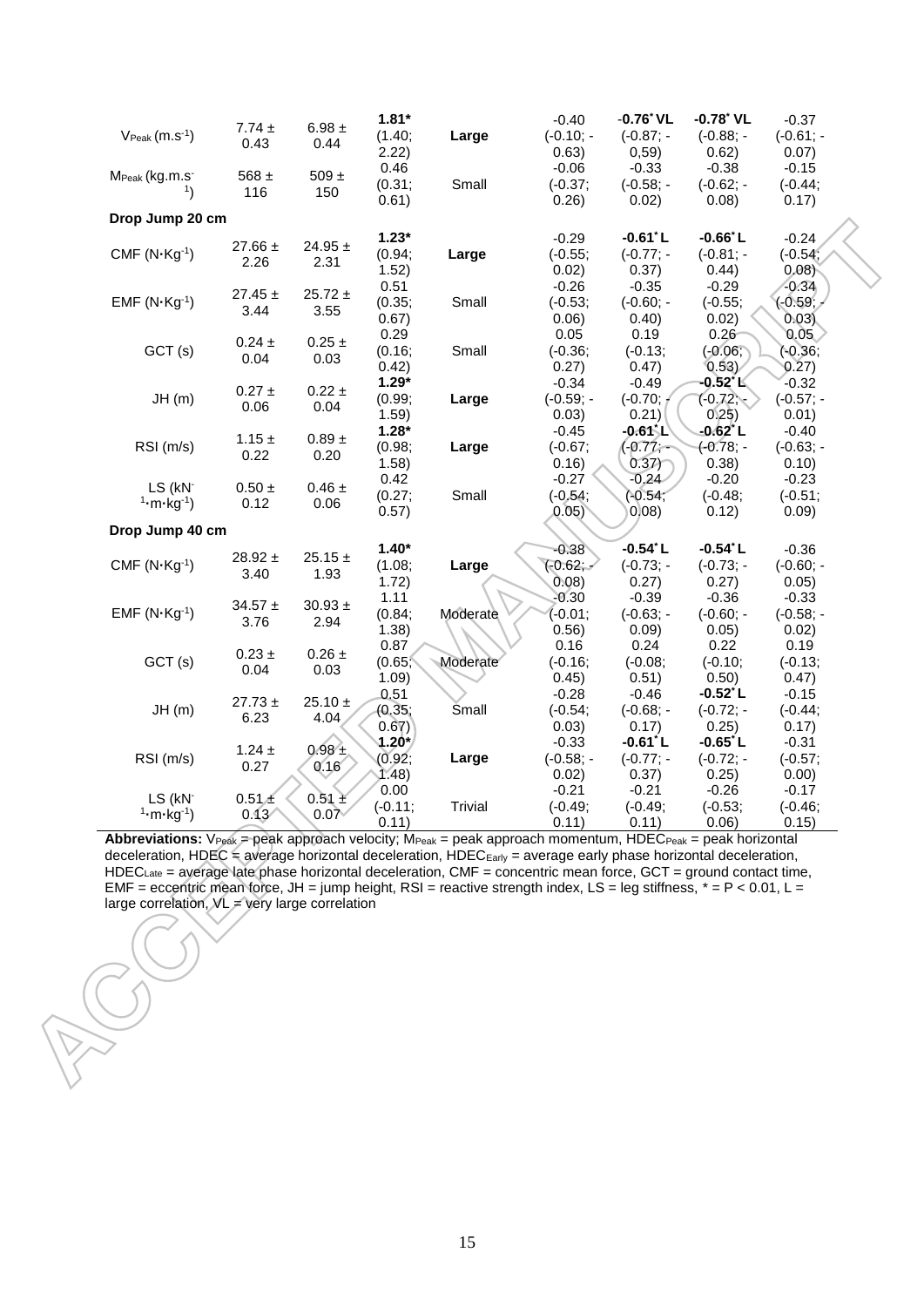|                                              |                     |                     | $1.81*$    |              | $-0.40$      | $-0.76$ VL        | $-0.78$ <sup>*</sup> VL | $-0.37$      |  |
|----------------------------------------------|---------------------|---------------------|------------|--------------|--------------|-------------------|-------------------------|--------------|--|
| $V_{\text{Peak}}(m.s^{-1})$                  | 7.74 $\pm$          | $6.98 \pm$          | (1.40;     | Large        | $(-0.10; -$  | $(-0.87; -$       | $(-0.88; -)$            | $(-0.61; -$  |  |
|                                              | 0.43                | 0.44                | 2.22)      |              | 0.63)        | 0,59)             | 0.62)                   | 0.07)        |  |
|                                              |                     |                     | 0.46       |              | $-0.06$      | $-0.33$           | $-0.38$                 | $-0.15$      |  |
| M <sub>Peak</sub> (kg.m.s <sup>-</sup><br>1) | 568 $\pm$<br>116    | 509 $\pm$           | (0.31;     | Small        | $(-0.37;$    | $(-0.58; -)$      | $(-0.62; -$             | $(-0.44;$    |  |
|                                              |                     | 150                 | 0.61)      |              | 0.26)        | 0.02)             | 0.08)                   | 0.17)        |  |
| Drop Jump 20 cm                              |                     |                     |            |              |              |                   |                         |              |  |
|                                              |                     |                     | $1.23*$    |              | $-0.29$      | $-0.61^{\circ}$ L | $-0.66^{\circ}$ L       | $-0.24$      |  |
| $CMF (N Kg-1)$                               | 27.66 $\pm$         | 24.95 $\pm$         | (0.94;     | Large        | $(-0.55;$    | $(-0.77; -$       | $(-0.81; -$             | $(-0.54)$    |  |
|                                              | 2.26                | 2.31                | 1.52)      |              | 0.02)        | 0.37)             | 0.44)                   | 0.08         |  |
|                                              |                     |                     | 0.51       |              | $-0.26$      | $-0.35$           | $-0.29$                 | $-0.34$      |  |
| $EMF (N-Kg-1)$                               | $27.45 \pm$         | $25.72 \pm$         | (0.35;     | Small        | $(-0.53;$    | $(-0.60; -$       | $(-0.55;$               | $(-0.59)$    |  |
|                                              | 3.44                | 3.55                | 0.67)      |              | 0.06)        | 0.40)             | 0.02)                   | 0.03         |  |
|                                              |                     |                     | 0.29       |              | 0.05         | 0.19              | 0.26                    | 0.05         |  |
| GCT(s)                                       | $0.24 \pm$          | $0.25 \pm$          | (0.16;     | Small        | $(-0.36;$    | $(-0.13;$         | $(-0.06)$               | $(-0.36)$    |  |
|                                              | 0.04                | 0.03                | 0.42)      |              | 0.27)        | 0.47)             | 0.53)                   | 0.27)        |  |
|                                              |                     |                     | $1.29*$    |              | $-0.34$      | $-0.49$           | -0.52° K                | $-0.32$      |  |
| JH(m)                                        | $0.27 \pm$          | $0.22 \pm$          | (0.99;     | Large        | $(-0.59; -)$ | $(-0.70; +)$      | $(-0.72)$               | $(-0.57; -$  |  |
|                                              | 0.06                | 0.04                | 1.59)      |              | 0.03)        | 0.21)             | 0.25)                   | 0.01)        |  |
|                                              |                     |                     | $1.28*$    |              | $-0.45$      | -0.615L           | -0.62*L                 | $-0.40$      |  |
| RSI (m/s)                                    | $1.15 \pm$<br>0.22  | $0.89$ $\pm$        | (0.98;     | Large        | $(-0.67;$    | $(-0.77,-$        | $(-0.78; -$             | $(-0.63; -)$ |  |
|                                              |                     | 0.20                | 1.58)      |              | 0.16)        | 0.37              | 0.38)                   | 0.10)        |  |
| LS (kN-                                      | $0.50\,\pm\,$       | $0.46 \pm$          | 0.42       |              | $-0.27$      | $-0.24$           | $-0.20$                 | $-0.23$      |  |
| $1 - m - kg^{-1}$                            | 0.12                | 0.06                | (0.27;     | Small        | $(-0.54;$    | $(-0.54,$         | $(-0.48;$               | $(-0.51;$    |  |
|                                              |                     |                     | 0.57)      |              | 0.05)        | 0,08)             | 0.12)                   | 0.09)        |  |
| Drop Jump 40 cm                              |                     |                     |            |              |              |                   |                         |              |  |
|                                              |                     |                     | $1.40*$    |              | $-0.38$      | $-0.54$ L         | $-0.54$ L               | $-0.36$      |  |
| $CMF (N Kg-1)$                               | $28.92 \pm$<br>3.40 | $25.15 \pm$<br>1.93 | (1.08;     | Large        | $(-0.62,-$   | $(-0.73; -$       | $(-0.73; -$             | $(-0.60; -$  |  |
|                                              |                     |                     | 1.72)      |              | 0.08)        | 0.27)             | 0.27)                   | 0.05)        |  |
|                                              | $34.57 \pm$         | 30.93 $\pm$         | 1.11       |              | $-0.30$      | $-0.39$           | $-0.36$                 | $-0.33$      |  |
| $EMF (N-Kg-1)$                               | 3.76                | 2.94                | (0.84;     | Moderate     | (-0.01;      | $(-0.63; -)$      | $(-0.60; -$             | $(-0.58; -$  |  |
|                                              |                     |                     | 1.38)      |              | 0.56)        | 0.09              | 0.05)                   | 0.02)        |  |
|                                              | $0.23 \pm$          | $0.26 \pm$          | 0.87       |              | 0.16         | 0.24              | 0.22                    | 0.19         |  |
| GCT(s)                                       | 0.04                | 0.03                | (0.65,     | Moderate     | $(-0.16;$    | $(-0.08;$         | $(-0.10;$               | $(-0.13;$    |  |
|                                              |                     |                     | 1.09)      |              | 0.45)        | 0.51)             | 0.50)                   | 0.47)        |  |
|                                              | $27.73 \pm$         | $25.10 \pm$         | 0.51       |              | $-0.28$      | $-0.46$           | $-0.52^{\circ}$ L       | $-0.15$      |  |
| JH(m)                                        | 6.23                | 4.04                | (0.35;     | <b>Small</b> | $(-0.54;$    | $(-0.68; -)$      | $(-0.72; -$             | $(-0.44;$    |  |
|                                              |                     |                     | 0.67)      |              | 0.03)        | 0.17)             | 0.25)                   | 0.17)        |  |
|                                              | $1.24 \pm$          | $0.98 +$            | $1.20^{*}$ |              | $-0.33$      | $-0.61^{*}$ L     | $-0.65^{\dagger}$ L     | $-0.31$      |  |
| RSI (m/s)                                    | 0.27                | 0.16                | (0.92;     | Large        | $(-0.58; -$  | $(-0.77; -$       | $(-0.72; -$             | $(-0.57;$    |  |
|                                              |                     |                     | 1.48)      |              | 0.02)        | 0.37)             | 0.25)                   | 0.00)        |  |
| LS (kN-                                      | 0.51 <sub>4</sub>   | $0.51 \pm$          | 0.00       |              | $-0.21$      | $-0.21$           | $-0.26$                 | $-0.17$      |  |
| $1 \cdot m \cdot kg^{-1}$                    | 0.13'               | 0.07                | $(-0.11)$  | Trivial      | $(-0.49;$    | $(-0.49;$         | $(-0.53;$               | $(-0.46;$    |  |
|                                              |                     |                     | 0.11)      |              | 0.11)        | 0.11)             | 0.06)                   | 0.15)        |  |

Abbreviations: V<sub>Peak</sub> = peak approach velocity; M<sub>Peak</sub> = peak approach momentum, HDEC<sub>Peak</sub> = peak horizontal deceleration, HDEC = average horizontal deceleration, HDEC<sub>Early</sub> = average early phase horizontal deceleration, HDECLate = average late phase horizontal deceleration, CMF = concentric mean force, GCT = ground contact time, EMF = eccentric mean force, JH = jump height, RSI = reactive strength index, LS = leg stiffness,  $* = P < 0.01$ , L = large correlation,  $\mathcal{N}L =$  very large correlation